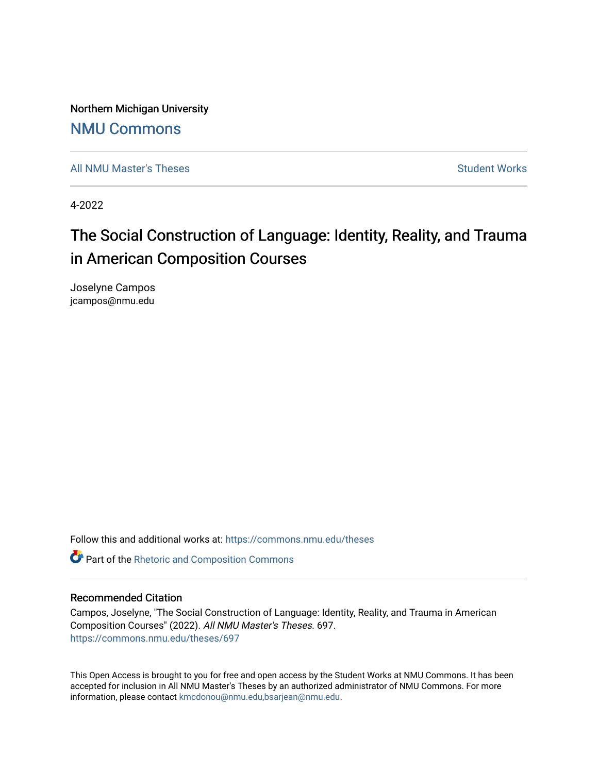Northern Michigan University

## [NMU Commons](https://commons.nmu.edu/)

[All NMU Master's Theses](https://commons.nmu.edu/theses) [Student Works](https://commons.nmu.edu/student_works) Student Works Student Works

4-2022

# The Social Construction of Language: Identity, Reality, and Trauma in American Composition Courses

Joselyne Campos jcampos@nmu.edu

Follow this and additional works at: [https://commons.nmu.edu/theses](https://commons.nmu.edu/theses?utm_source=commons.nmu.edu%2Ftheses%2F697&utm_medium=PDF&utm_campaign=PDFCoverPages)

**C** Part of the [Rhetoric and Composition Commons](http://network.bepress.com/hgg/discipline/573?utm_source=commons.nmu.edu%2Ftheses%2F697&utm_medium=PDF&utm_campaign=PDFCoverPages)

### Recommended Citation

Campos, Joselyne, "The Social Construction of Language: Identity, Reality, and Trauma in American Composition Courses" (2022). All NMU Master's Theses. 697. [https://commons.nmu.edu/theses/697](https://commons.nmu.edu/theses/697?utm_source=commons.nmu.edu%2Ftheses%2F697&utm_medium=PDF&utm_campaign=PDFCoverPages) 

This Open Access is brought to you for free and open access by the Student Works at NMU Commons. It has been accepted for inclusion in All NMU Master's Theses by an authorized administrator of NMU Commons. For more information, please contact [kmcdonou@nmu.edu,bsarjean@nmu.edu](mailto:kmcdonou@nmu.edu,bsarjean@nmu.edu).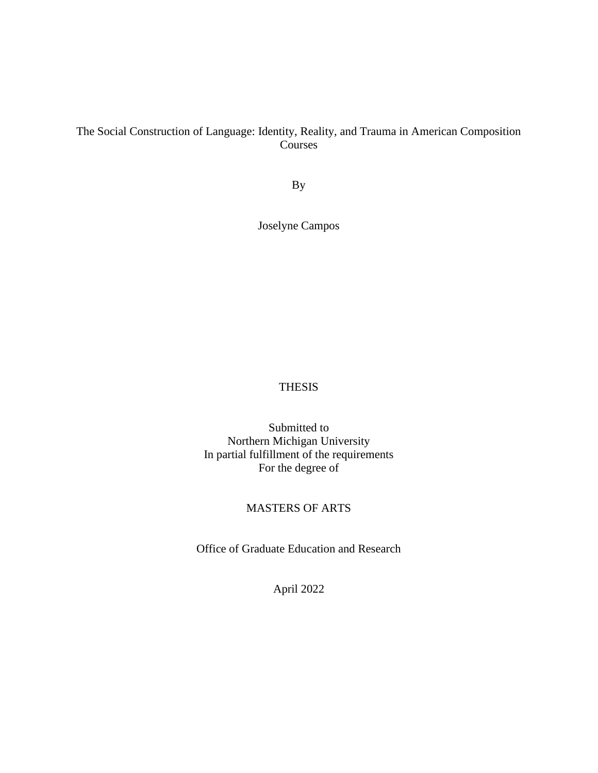### The Social Construction of Language: Identity, Reality, and Trauma in American Composition Courses

By

Joselyne Campos

### THESIS

Submitted to Northern Michigan University In partial fulfillment of the requirements For the degree of

### MASTERS OF ARTS

Office of Graduate Education and Research

April 2022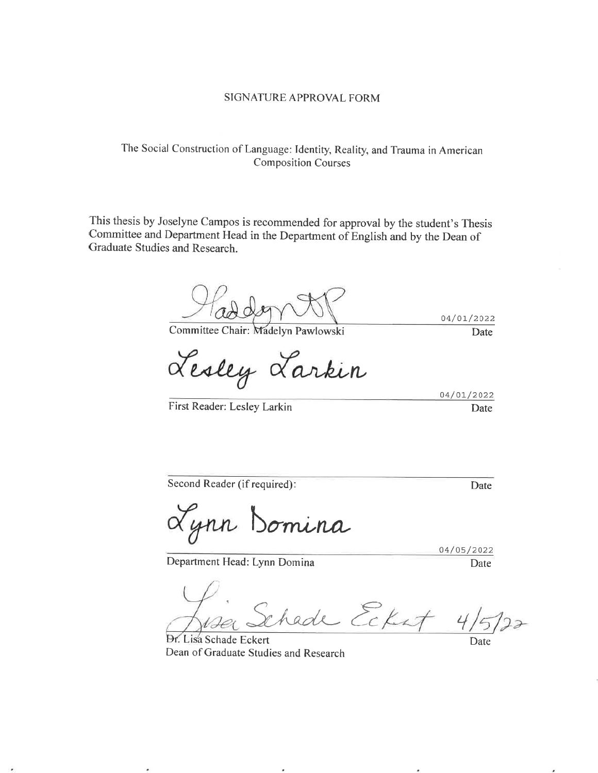#### SIGNATURE APPROVAL FORM

### The Social Construction of Language: Identity, Reality, and Trauma in American **Composition Courses**

This thesis by Joselyne Campos is recommended for approval by the student's Thesis Committee and Department Head in the Department of English and by the Dean of Graduate Studies and Research.

Committee Chair: Madelyn Pawlowski

Lesley Larkin

04/01/2022 Date

04/01/2022

Date

First Reader: Lesley Larkin

Second Reader (if required):

Date

Lynn Domina

Department Head: Lynn Domina

04/05/2022 Date

hade Ecket

Dr. Lisa Schade Eckert Dean of Graduate Studies and Research

Date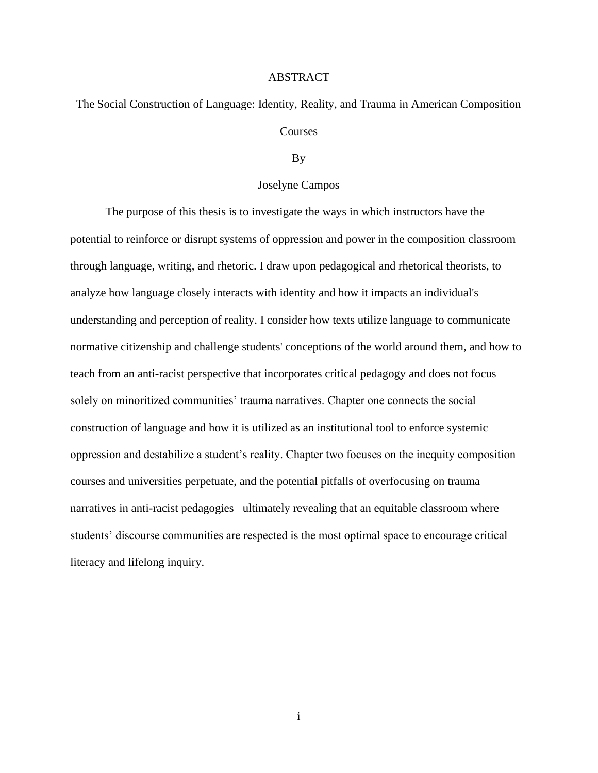#### ABSTRACT

The Social Construction of Language: Identity, Reality, and Trauma in American Composition Courses

#### By

### Joselyne Campos

The purpose of this thesis is to investigate the ways in which instructors have the potential to reinforce or disrupt systems of oppression and power in the composition classroom through language, writing, and rhetoric. I draw upon pedagogical and rhetorical theorists, to analyze how language closely interacts with identity and how it impacts an individual's understanding and perception of reality. I consider how texts utilize language to communicate normative citizenship and challenge students' conceptions of the world around them, and how to teach from an anti-racist perspective that incorporates critical pedagogy and does not focus solely on minoritized communities' trauma narratives. Chapter one connects the social construction of language and how it is utilized as an institutional tool to enforce systemic oppression and destabilize a student's reality. Chapter two focuses on the inequity composition courses and universities perpetuate, and the potential pitfalls of overfocusing on trauma narratives in anti-racist pedagogies– ultimately revealing that an equitable classroom where students' discourse communities are respected is the most optimal space to encourage critical literacy and lifelong inquiry.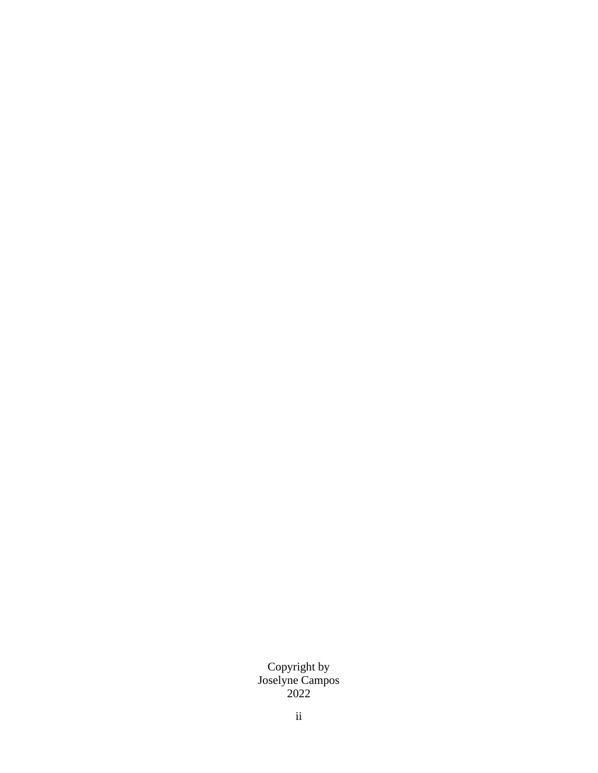Copyright by Joselyne Campos 2022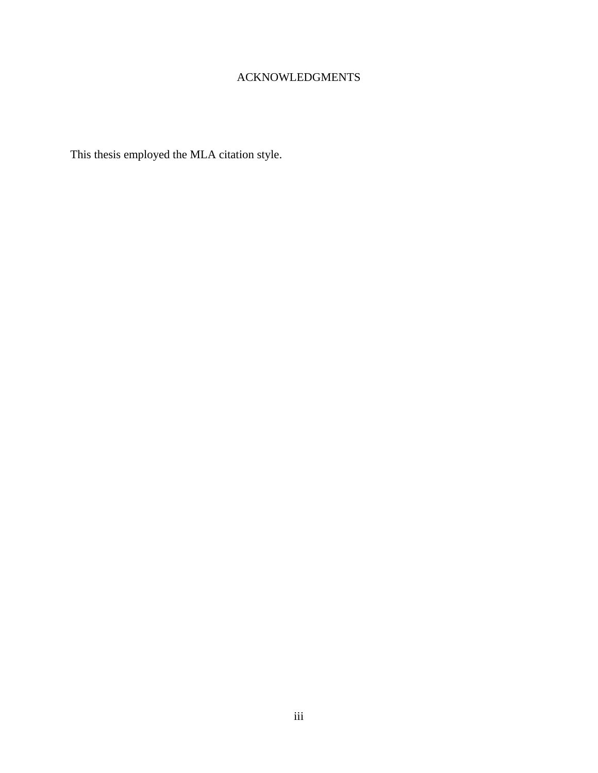### ACKNOWLEDGMENTS

This thesis employed the MLA citation style.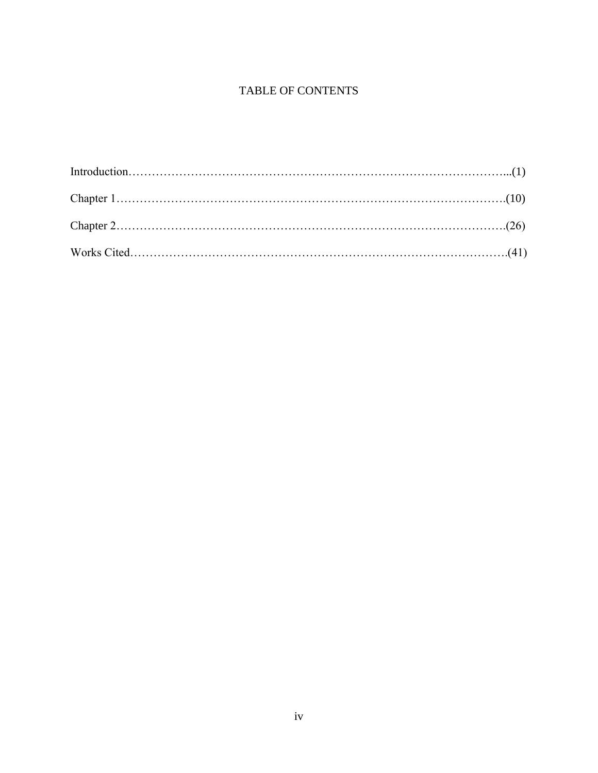### TABLE OF CONTENTS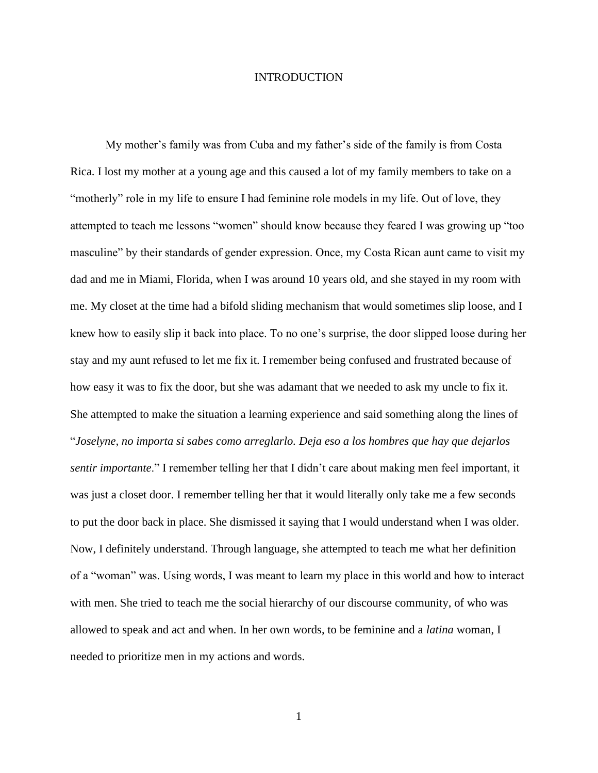### INTRODUCTION

My mother's family was from Cuba and my father's side of the family is from Costa Rica. I lost my mother at a young age and this caused a lot of my family members to take on a "motherly" role in my life to ensure I had feminine role models in my life. Out of love, they attempted to teach me lessons "women" should know because they feared I was growing up "too masculine" by their standards of gender expression. Once, my Costa Rican aunt came to visit my dad and me in Miami, Florida, when I was around 10 years old, and she stayed in my room with me. My closet at the time had a bifold sliding mechanism that would sometimes slip loose, and I knew how to easily slip it back into place. To no one's surprise, the door slipped loose during her stay and my aunt refused to let me fix it. I remember being confused and frustrated because of how easy it was to fix the door, but she was adamant that we needed to ask my uncle to fix it. She attempted to make the situation a learning experience and said something along the lines of "*Joselyne, no importa si sabes como arreglarlo. Deja eso a los hombres que hay que dejarlos sentir importante*." I remember telling her that I didn't care about making men feel important, it was just a closet door. I remember telling her that it would literally only take me a few seconds to put the door back in place. She dismissed it saying that I would understand when I was older. Now, I definitely understand. Through language, she attempted to teach me what her definition of a "woman" was. Using words, I was meant to learn my place in this world and how to interact with men. She tried to teach me the social hierarchy of our discourse community, of who was allowed to speak and act and when. In her own words, to be feminine and a *latina* woman, I needed to prioritize men in my actions and words.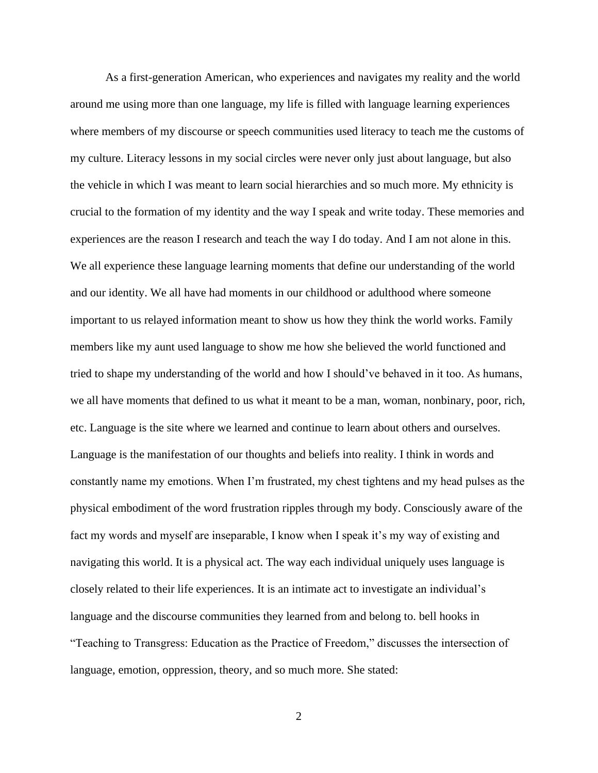As a first-generation American, who experiences and navigates my reality and the world around me using more than one language, my life is filled with language learning experiences where members of my discourse or speech communities used literacy to teach me the customs of my culture. Literacy lessons in my social circles were never only just about language, but also the vehicle in which I was meant to learn social hierarchies and so much more. My ethnicity is crucial to the formation of my identity and the way I speak and write today. These memories and experiences are the reason I research and teach the way I do today. And I am not alone in this. We all experience these language learning moments that define our understanding of the world and our identity. We all have had moments in our childhood or adulthood where someone important to us relayed information meant to show us how they think the world works. Family members like my aunt used language to show me how she believed the world functioned and tried to shape my understanding of the world and how I should've behaved in it too. As humans, we all have moments that defined to us what it meant to be a man, woman, nonbinary, poor, rich, etc. Language is the site where we learned and continue to learn about others and ourselves. Language is the manifestation of our thoughts and beliefs into reality. I think in words and constantly name my emotions. When I'm frustrated, my chest tightens and my head pulses as the physical embodiment of the word frustration ripples through my body. Consciously aware of the fact my words and myself are inseparable, I know when I speak it's my way of existing and navigating this world. It is a physical act. The way each individual uniquely uses language is closely related to their life experiences. It is an intimate act to investigate an individual's language and the discourse communities they learned from and belong to. bell hooks in "Teaching to Transgress: Education as the Practice of Freedom," discusses the intersection of language, emotion, oppression, theory, and so much more. She stated:

 $\mathcal{L}$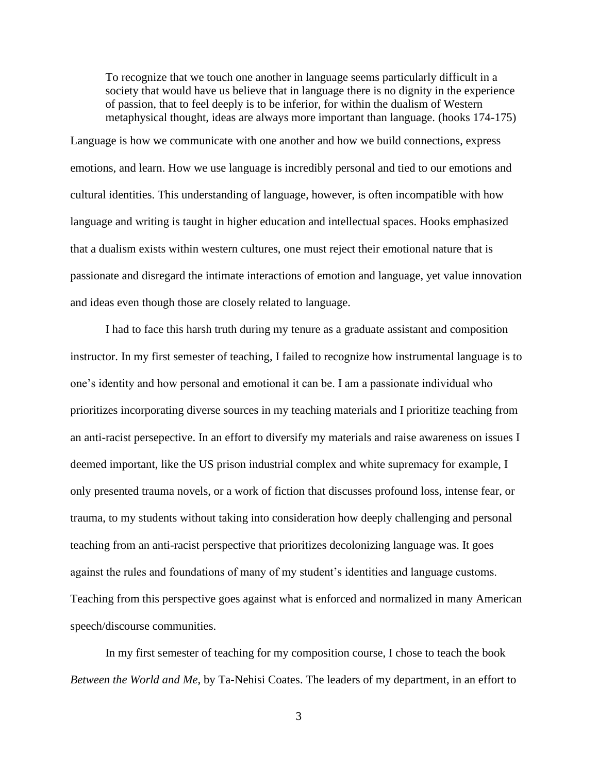To recognize that we touch one another in language seems particularly difficult in a society that would have us believe that in language there is no dignity in the experience of passion, that to feel deeply is to be inferior, for within the dualism of Western metaphysical thought, ideas are always more important than language. (hooks 174-175)

Language is how we communicate with one another and how we build connections, express emotions, and learn. How we use language is incredibly personal and tied to our emotions and cultural identities. This understanding of language, however, is often incompatible with how language and writing is taught in higher education and intellectual spaces. Hooks emphasized that a dualism exists within western cultures, one must reject their emotional nature that is passionate and disregard the intimate interactions of emotion and language, yet value innovation and ideas even though those are closely related to language.

I had to face this harsh truth during my tenure as a graduate assistant and composition instructor. In my first semester of teaching, I failed to recognize how instrumental language is to one's identity and how personal and emotional it can be. I am a passionate individual who prioritizes incorporating diverse sources in my teaching materials and I prioritize teaching from an anti-racist persepective. In an effort to diversify my materials and raise awareness on issues I deemed important, like the US prison industrial complex and white supremacy for example, I only presented trauma novels, or a work of fiction that discusses profound loss, intense fear, or trauma, to my students without taking into consideration how deeply challenging and personal teaching from an anti-racist perspective that prioritizes decolonizing language was. It goes against the rules and foundations of many of my student's identities and language customs. Teaching from this perspective goes against what is enforced and normalized in many American speech/discourse communities.

In my first semester of teaching for my composition course, I chose to teach the book *Between the World and Me*, by Ta-Nehisi Coates. The leaders of my department, in an effort to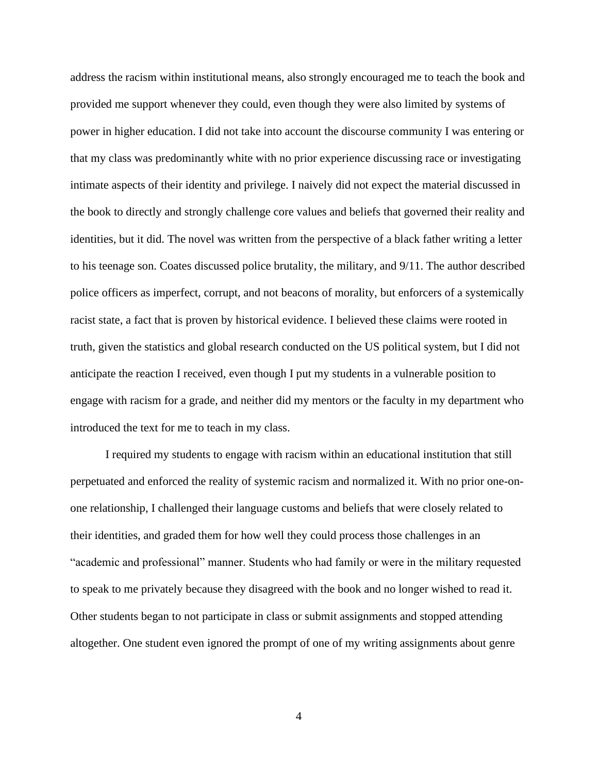address the racism within institutional means, also strongly encouraged me to teach the book and provided me support whenever they could, even though they were also limited by systems of power in higher education. I did not take into account the discourse community I was entering or that my class was predominantly white with no prior experience discussing race or investigating intimate aspects of their identity and privilege. I naively did not expect the material discussed in the book to directly and strongly challenge core values and beliefs that governed their reality and identities, but it did. The novel was written from the perspective of a black father writing a letter to his teenage son. Coates discussed police brutality, the military, and 9/11. The author described police officers as imperfect, corrupt, and not beacons of morality, but enforcers of a systemically racist state, a fact that is proven by historical evidence. I believed these claims were rooted in truth, given the statistics and global research conducted on the US political system, but I did not anticipate the reaction I received, even though I put my students in a vulnerable position to engage with racism for a grade, and neither did my mentors or the faculty in my department who introduced the text for me to teach in my class.

I required my students to engage with racism within an educational institution that still perpetuated and enforced the reality of systemic racism and normalized it. With no prior one-onone relationship, I challenged their language customs and beliefs that were closely related to their identities, and graded them for how well they could process those challenges in an "academic and professional" manner. Students who had family or were in the military requested to speak to me privately because they disagreed with the book and no longer wished to read it. Other students began to not participate in class or submit assignments and stopped attending altogether. One student even ignored the prompt of one of my writing assignments about genre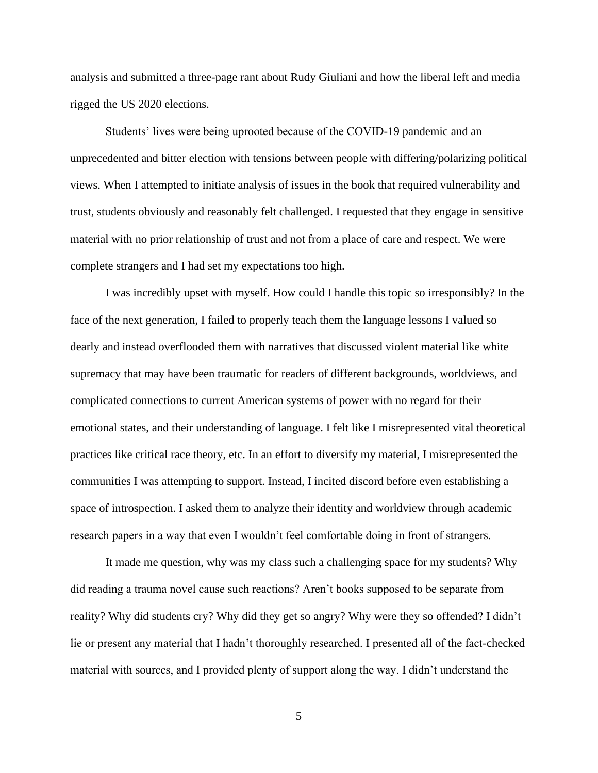analysis and submitted a three-page rant about Rudy Giuliani and how the liberal left and media rigged the US 2020 elections.

Students' lives were being uprooted because of the COVID-19 pandemic and an unprecedented and bitter election with tensions between people with differing/polarizing political views. When I attempted to initiate analysis of issues in the book that required vulnerability and trust, students obviously and reasonably felt challenged. I requested that they engage in sensitive material with no prior relationship of trust and not from a place of care and respect. We were complete strangers and I had set my expectations too high.

I was incredibly upset with myself. How could I handle this topic so irresponsibly? In the face of the next generation, I failed to properly teach them the language lessons I valued so dearly and instead overflooded them with narratives that discussed violent material like white supremacy that may have been traumatic for readers of different backgrounds, worldviews, and complicated connections to current American systems of power with no regard for their emotional states, and their understanding of language. I felt like I misrepresented vital theoretical practices like critical race theory, etc. In an effort to diversify my material, I misrepresented the communities I was attempting to support. Instead, I incited discord before even establishing a space of introspection. I asked them to analyze their identity and worldview through academic research papers in a way that even I wouldn't feel comfortable doing in front of strangers.

It made me question, why was my class such a challenging space for my students? Why did reading a trauma novel cause such reactions? Aren't books supposed to be separate from reality? Why did students cry? Why did they get so angry? Why were they so offended? I didn't lie or present any material that I hadn't thoroughly researched. I presented all of the fact-checked material with sources, and I provided plenty of support along the way. I didn't understand the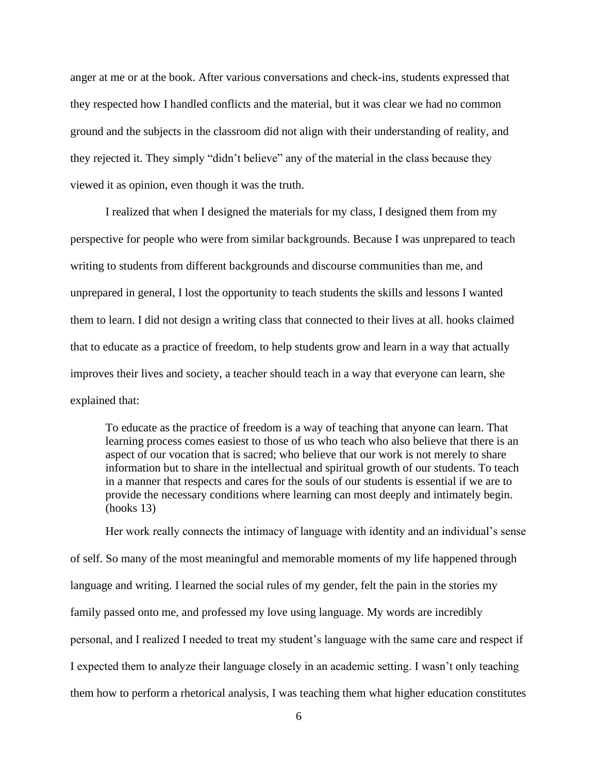anger at me or at the book. After various conversations and check-ins, students expressed that they respected how I handled conflicts and the material, but it was clear we had no common ground and the subjects in the classroom did not align with their understanding of reality, and they rejected it. They simply "didn't believe" any of the material in the class because they viewed it as opinion, even though it was the truth.

I realized that when I designed the materials for my class, I designed them from my perspective for people who were from similar backgrounds. Because I was unprepared to teach writing to students from different backgrounds and discourse communities than me, and unprepared in general, I lost the opportunity to teach students the skills and lessons I wanted them to learn. I did not design a writing class that connected to their lives at all. hooks claimed that to educate as a practice of freedom, to help students grow and learn in a way that actually improves their lives and society, a teacher should teach in a way that everyone can learn, she explained that:

To educate as the practice of freedom is a way of teaching that anyone can learn. That learning process comes easiest to those of us who teach who also believe that there is an aspect of our vocation that is sacred; who believe that our work is not merely to share information but to share in the intellectual and spiritual growth of our students. To teach in a manner that respects and cares for the souls of our students is essential if we are to provide the necessary conditions where learning can most deeply and intimately begin. (hooks 13)

Her work really connects the intimacy of language with identity and an individual's sense of self. So many of the most meaningful and memorable moments of my life happened through language and writing. I learned the social rules of my gender, felt the pain in the stories my family passed onto me, and professed my love using language. My words are incredibly personal, and I realized I needed to treat my student's language with the same care and respect if I expected them to analyze their language closely in an academic setting. I wasn't only teaching them how to perform a rhetorical analysis, I was teaching them what higher education constitutes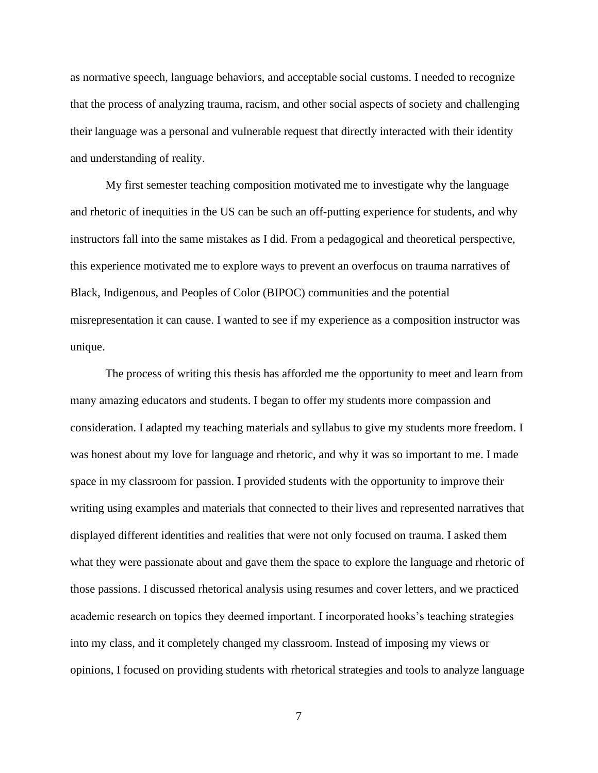as normative speech, language behaviors, and acceptable social customs. I needed to recognize that the process of analyzing trauma, racism, and other social aspects of society and challenging their language was a personal and vulnerable request that directly interacted with their identity and understanding of reality.

My first semester teaching composition motivated me to investigate why the language and rhetoric of inequities in the US can be such an off-putting experience for students, and why instructors fall into the same mistakes as I did. From a pedagogical and theoretical perspective, this experience motivated me to explore ways to prevent an overfocus on trauma narratives of Black, Indigenous, and Peoples of Color (BIPOC) communities and the potential misrepresentation it can cause. I wanted to see if my experience as a composition instructor was unique.

The process of writing this thesis has afforded me the opportunity to meet and learn from many amazing educators and students. I began to offer my students more compassion and consideration. I adapted my teaching materials and syllabus to give my students more freedom. I was honest about my love for language and rhetoric, and why it was so important to me. I made space in my classroom for passion. I provided students with the opportunity to improve their writing using examples and materials that connected to their lives and represented narratives that displayed different identities and realities that were not only focused on trauma. I asked them what they were passionate about and gave them the space to explore the language and rhetoric of those passions. I discussed rhetorical analysis using resumes and cover letters, and we practiced academic research on topics they deemed important. I incorporated hooks's teaching strategies into my class, and it completely changed my classroom. Instead of imposing my views or opinions, I focused on providing students with rhetorical strategies and tools to analyze language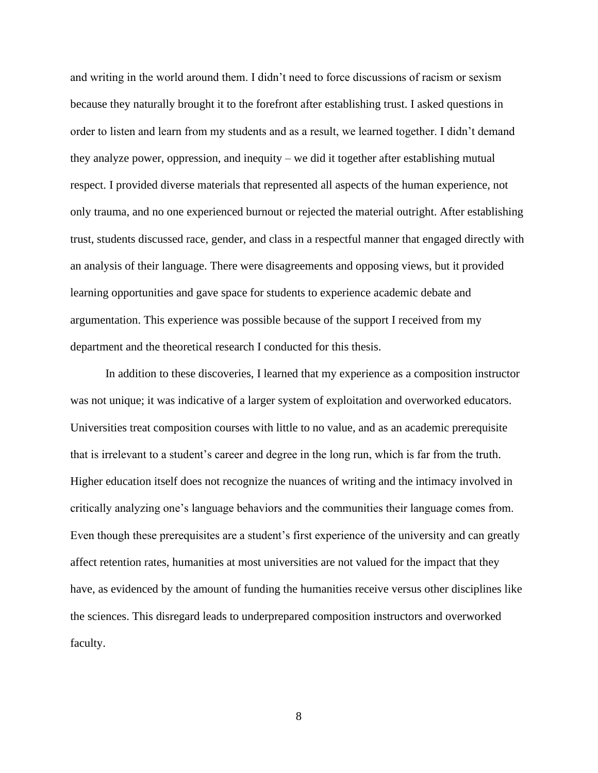and writing in the world around them. I didn't need to force discussions of racism or sexism because they naturally brought it to the forefront after establishing trust. I asked questions in order to listen and learn from my students and as a result, we learned together. I didn't demand they analyze power, oppression, and inequity – we did it together after establishing mutual respect. I provided diverse materials that represented all aspects of the human experience, not only trauma, and no one experienced burnout or rejected the material outright. After establishing trust, students discussed race, gender, and class in a respectful manner that engaged directly with an analysis of their language. There were disagreements and opposing views, but it provided learning opportunities and gave space for students to experience academic debate and argumentation. This experience was possible because of the support I received from my department and the theoretical research I conducted for this thesis.

In addition to these discoveries, I learned that my experience as a composition instructor was not unique; it was indicative of a larger system of exploitation and overworked educators. Universities treat composition courses with little to no value, and as an academic prerequisite that is irrelevant to a student's career and degree in the long run, which is far from the truth. Higher education itself does not recognize the nuances of writing and the intimacy involved in critically analyzing one's language behaviors and the communities their language comes from. Even though these prerequisites are a student's first experience of the university and can greatly affect retention rates, humanities at most universities are not valued for the impact that they have, as evidenced by the amount of funding the humanities receive versus other disciplines like the sciences. This disregard leads to underprepared composition instructors and overworked faculty.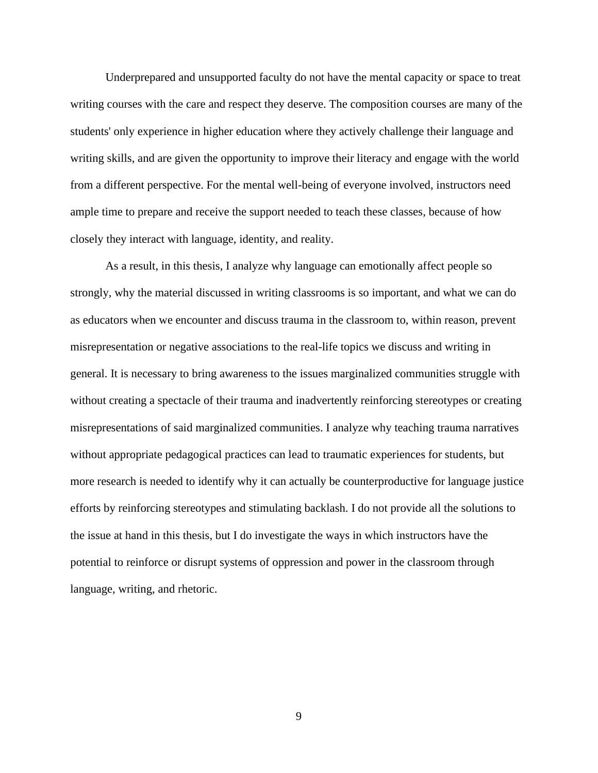Underprepared and unsupported faculty do not have the mental capacity or space to treat writing courses with the care and respect they deserve. The composition courses are many of the students' only experience in higher education where they actively challenge their language and writing skills, and are given the opportunity to improve their literacy and engage with the world from a different perspective. For the mental well-being of everyone involved, instructors need ample time to prepare and receive the support needed to teach these classes, because of how closely they interact with language, identity, and reality.

As a result, in this thesis, I analyze why language can emotionally affect people so strongly, why the material discussed in writing classrooms is so important, and what we can do as educators when we encounter and discuss trauma in the classroom to, within reason, prevent misrepresentation or negative associations to the real-life topics we discuss and writing in general. It is necessary to bring awareness to the issues marginalized communities struggle with without creating a spectacle of their trauma and inadvertently reinforcing stereotypes or creating misrepresentations of said marginalized communities. I analyze why teaching trauma narratives without appropriate pedagogical practices can lead to traumatic experiences for students, but more research is needed to identify why it can actually be counterproductive for language justice efforts by reinforcing stereotypes and stimulating backlash. I do not provide all the solutions to the issue at hand in this thesis, but I do investigate the ways in which instructors have the potential to reinforce or disrupt systems of oppression and power in the classroom through language, writing, and rhetoric.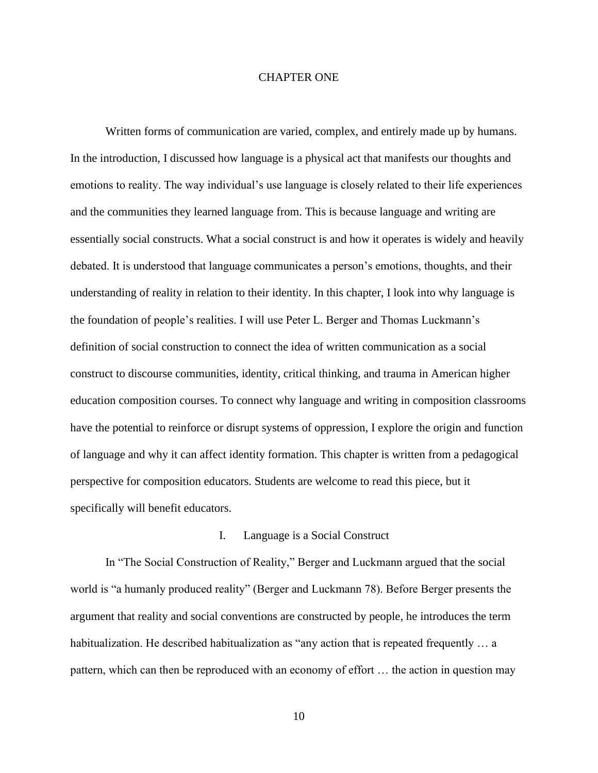### CHAPTER ONE

Written forms of communication are varied, complex, and entirely made up by humans. In the introduction, I discussed how language is a physical act that manifests our thoughts and emotions to reality. The way individual's use language is closely related to their life experiences and the communities they learned language from. This is because language and writing are essentially social constructs. What a social construct is and how it operates is widely and heavily debated. It is understood that language communicates a person's emotions, thoughts, and their understanding of reality in relation to their identity. In this chapter, I look into why language is the foundation of people's realities. I will use Peter L. Berger and Thomas Luckmann's definition of social construction to connect the idea of written communication as a social construct to discourse communities, identity, critical thinking, and trauma in American higher education composition courses. To connect why language and writing in composition classrooms have the potential to reinforce or disrupt systems of oppression, I explore the origin and function of language and why it can affect identity formation. This chapter is written from a pedagogical perspective for composition educators. Students are welcome to read this piece, but it specifically will benefit educators.

### I. Language is a Social Construct

In "The Social Construction of Reality," Berger and Luckmann argued that the social world is "a humanly produced reality" (Berger and Luckmann 78). Before Berger presents the argument that reality and social conventions are constructed by people, he introduces the term habitualization. He described habitualization as "any action that is repeated frequently ... a pattern, which can then be reproduced with an economy of effort … the action in question may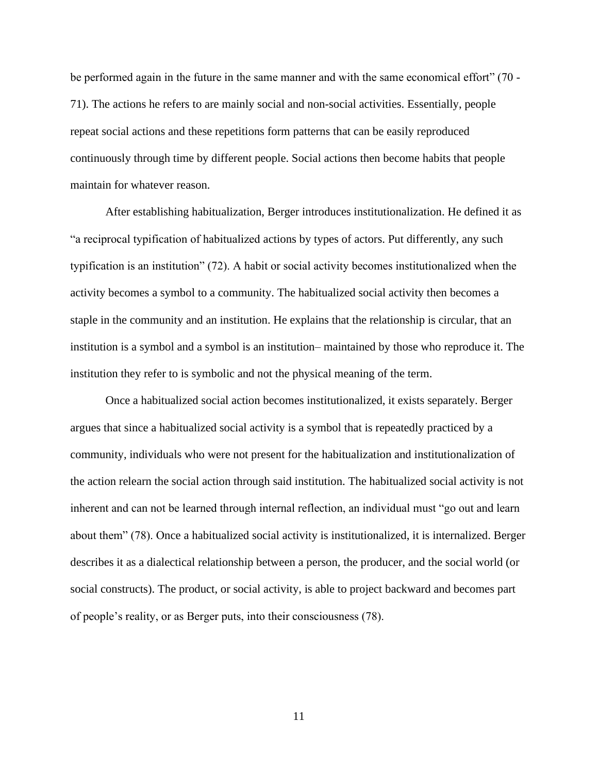be performed again in the future in the same manner and with the same economical effort" (70 - 71). The actions he refers to are mainly social and non-social activities. Essentially, people repeat social actions and these repetitions form patterns that can be easily reproduced continuously through time by different people. Social actions then become habits that people maintain for whatever reason.

After establishing habitualization, Berger introduces institutionalization. He defined it as "a reciprocal typification of habitualized actions by types of actors. Put differently, any such typification is an institution" (72). A habit or social activity becomes institutionalized when the activity becomes a symbol to a community. The habitualized social activity then becomes a staple in the community and an institution. He explains that the relationship is circular, that an institution is a symbol and a symbol is an institution– maintained by those who reproduce it. The institution they refer to is symbolic and not the physical meaning of the term.

Once a habitualized social action becomes institutionalized, it exists separately. Berger argues that since a habitualized social activity is a symbol that is repeatedly practiced by a community, individuals who were not present for the habitualization and institutionalization of the action relearn the social action through said institution. The habitualized social activity is not inherent and can not be learned through internal reflection, an individual must "go out and learn about them" (78). Once a habitualized social activity is institutionalized, it is internalized. Berger describes it as a dialectical relationship between a person, the producer, and the social world (or social constructs). The product, or social activity, is able to project backward and becomes part of people's reality, or as Berger puts, into their consciousness (78).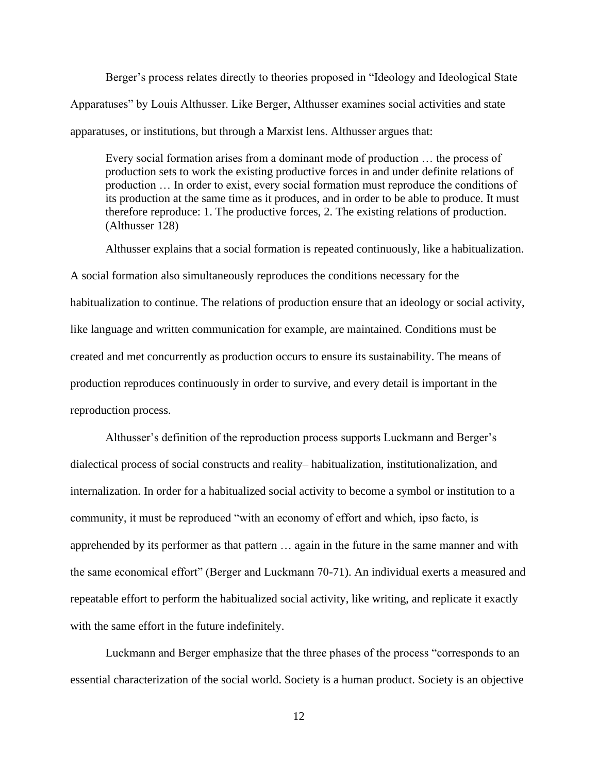Berger's process relates directly to theories proposed in "Ideology and Ideological State Apparatuses" by Louis Althusser. Like Berger, Althusser examines social activities and state apparatuses, or institutions, but through a Marxist lens. Althusser argues that:

Every social formation arises from a dominant mode of production … the process of production sets to work the existing productive forces in and under definite relations of production … In order to exist, every social formation must reproduce the conditions of its production at the same time as it produces, and in order to be able to produce. It must therefore reproduce: 1. The productive forces, 2. The existing relations of production. (Althusser 128)

Althusser explains that a social formation is repeated continuously, like a habitualization.

A social formation also simultaneously reproduces the conditions necessary for the habitualization to continue. The relations of production ensure that an ideology or social activity, like language and written communication for example, are maintained. Conditions must be created and met concurrently as production occurs to ensure its sustainability. The means of production reproduces continuously in order to survive, and every detail is important in the reproduction process.

Althusser's definition of the reproduction process supports Luckmann and Berger's dialectical process of social constructs and reality– habitualization, institutionalization, and internalization. In order for a habitualized social activity to become a symbol or institution to a community, it must be reproduced "with an economy of effort and which, ipso facto, is apprehended by its performer as that pattern … again in the future in the same manner and with the same economical effort" (Berger and Luckmann 70-71). An individual exerts a measured and repeatable effort to perform the habitualized social activity, like writing, and replicate it exactly with the same effort in the future indefinitely.

Luckmann and Berger emphasize that the three phases of the process "corresponds to an essential characterization of the social world. Society is a human product. Society is an objective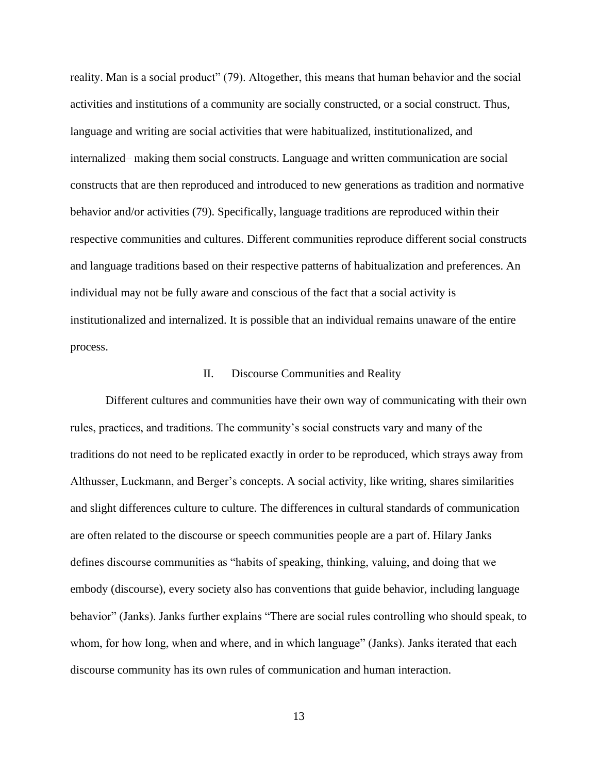reality. Man is a social product" (79). Altogether, this means that human behavior and the social activities and institutions of a community are socially constructed, or a social construct. Thus, language and writing are social activities that were habitualized, institutionalized, and internalized– making them social constructs. Language and written communication are social constructs that are then reproduced and introduced to new generations as tradition and normative behavior and/or activities (79). Specifically, language traditions are reproduced within their respective communities and cultures. Different communities reproduce different social constructs and language traditions based on their respective patterns of habitualization and preferences. An individual may not be fully aware and conscious of the fact that a social activity is institutionalized and internalized. It is possible that an individual remains unaware of the entire process.

#### II. Discourse Communities and Reality

Different cultures and communities have their own way of communicating with their own rules, practices, and traditions. The community's social constructs vary and many of the traditions do not need to be replicated exactly in order to be reproduced, which strays away from Althusser, Luckmann, and Berger's concepts. A social activity, like writing, shares similarities and slight differences culture to culture. The differences in cultural standards of communication are often related to the discourse or speech communities people are a part of. Hilary Janks defines discourse communities as "habits of speaking, thinking, valuing, and doing that we embody (discourse), every society also has conventions that guide behavior, including language behavior" (Janks). Janks further explains "There are social rules controlling who should speak, to whom, for how long, when and where, and in which language" (Janks). Janks iterated that each discourse community has its own rules of communication and human interaction.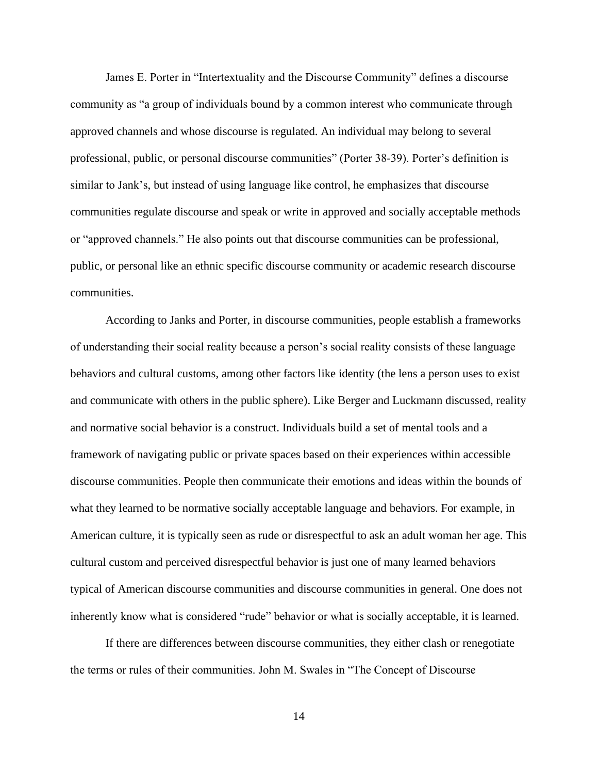James E. Porter in "Intertextuality and the Discourse Community" defines a discourse community as "a group of individuals bound by a common interest who communicate through approved channels and whose discourse is regulated. An individual may belong to several professional, public, or personal discourse communities" (Porter 38-39). Porter's definition is similar to Jank's, but instead of using language like control, he emphasizes that discourse communities regulate discourse and speak or write in approved and socially acceptable methods or "approved channels." He also points out that discourse communities can be professional, public, or personal like an ethnic specific discourse community or academic research discourse communities.

According to Janks and Porter, in discourse communities, people establish a frameworks of understanding their social reality because a person's social reality consists of these language behaviors and cultural customs, among other factors like identity (the lens a person uses to exist and communicate with others in the public sphere). Like Berger and Luckmann discussed, reality and normative social behavior is a construct. Individuals build a set of mental tools and a framework of navigating public or private spaces based on their experiences within accessible discourse communities. People then communicate their emotions and ideas within the bounds of what they learned to be normative socially acceptable language and behaviors. For example, in American culture, it is typically seen as rude or disrespectful to ask an adult woman her age. This cultural custom and perceived disrespectful behavior is just one of many learned behaviors typical of American discourse communities and discourse communities in general. One does not inherently know what is considered "rude" behavior or what is socially acceptable, it is learned.

If there are differences between discourse communities, they either clash or renegotiate the terms or rules of their communities. John M. Swales in "The Concept of Discourse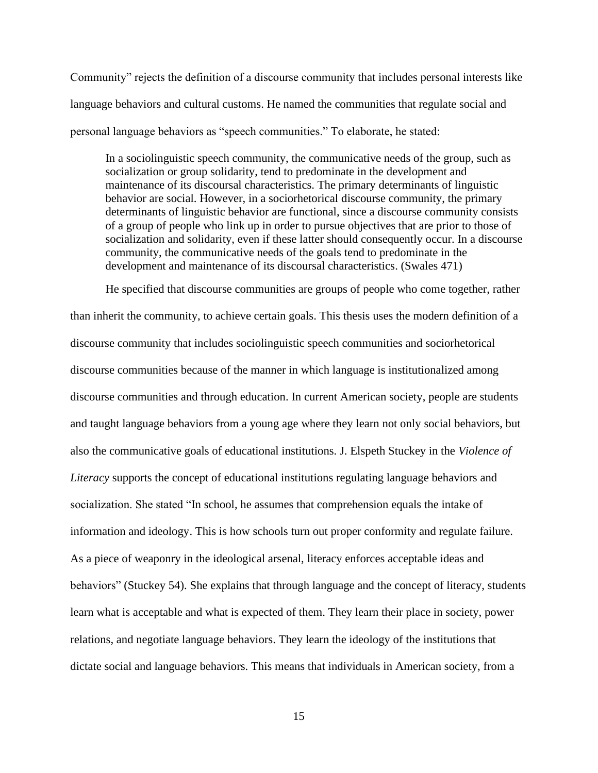Community" rejects the definition of a discourse community that includes personal interests like language behaviors and cultural customs. He named the communities that regulate social and personal language behaviors as "speech communities." To elaborate, he stated:

In a sociolinguistic speech community, the communicative needs of the group, such as socialization or group solidarity, tend to predominate in the development and maintenance of its discoursal characteristics. The primary determinants of linguistic behavior are social. However, in a sociorhetorical discourse community, the primary determinants of linguistic behavior are functional, since a discourse community consists of a group of people who link up in order to pursue objectives that are prior to those of socialization and solidarity, even if these latter should consequently occur. In a discourse community, the communicative needs of the goals tend to predominate in the development and maintenance of its discoursal characteristics. (Swales 471)

He specified that discourse communities are groups of people who come together, rather than inherit the community, to achieve certain goals. This thesis uses the modern definition of a discourse community that includes sociolinguistic speech communities and sociorhetorical discourse communities because of the manner in which language is institutionalized among discourse communities and through education. In current American society, people are students and taught language behaviors from a young age where they learn not only social behaviors, but also the communicative goals of educational institutions. J. Elspeth Stuckey in the *Violence of Literacy* supports the concept of educational institutions regulating language behaviors and socialization. She stated "In school, he assumes that comprehension equals the intake of information and ideology. This is how schools turn out proper conformity and regulate failure. As a piece of weaponry in the ideological arsenal, literacy enforces acceptable ideas and behaviors" (Stuckey 54). She explains that through language and the concept of literacy, students learn what is acceptable and what is expected of them. They learn their place in society, power relations, and negotiate language behaviors. They learn the ideology of the institutions that dictate social and language behaviors. This means that individuals in American society, from a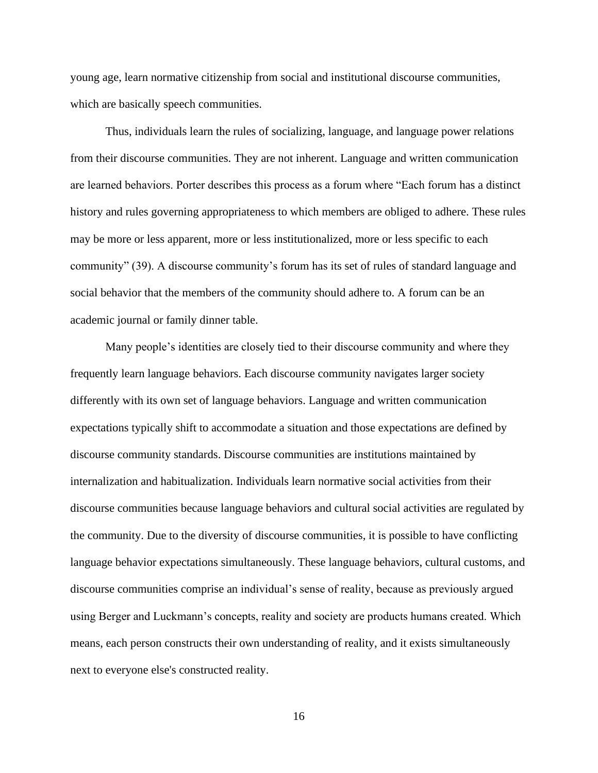young age, learn normative citizenship from social and institutional discourse communities, which are basically speech communities.

Thus, individuals learn the rules of socializing, language, and language power relations from their discourse communities. They are not inherent. Language and written communication are learned behaviors. Porter describes this process as a forum where "Each forum has a distinct history and rules governing appropriateness to which members are obliged to adhere. These rules may be more or less apparent, more or less institutionalized, more or less specific to each community" (39). A discourse community's forum has its set of rules of standard language and social behavior that the members of the community should adhere to. A forum can be an academic journal or family dinner table.

Many people's identities are closely tied to their discourse community and where they frequently learn language behaviors. Each discourse community navigates larger society differently with its own set of language behaviors. Language and written communication expectations typically shift to accommodate a situation and those expectations are defined by discourse community standards. Discourse communities are institutions maintained by internalization and habitualization. Individuals learn normative social activities from their discourse communities because language behaviors and cultural social activities are regulated by the community. Due to the diversity of discourse communities, it is possible to have conflicting language behavior expectations simultaneously. These language behaviors, cultural customs, and discourse communities comprise an individual's sense of reality, because as previously argued using Berger and Luckmann's concepts, reality and society are products humans created. Which means, each person constructs their own understanding of reality, and it exists simultaneously next to everyone else's constructed reality.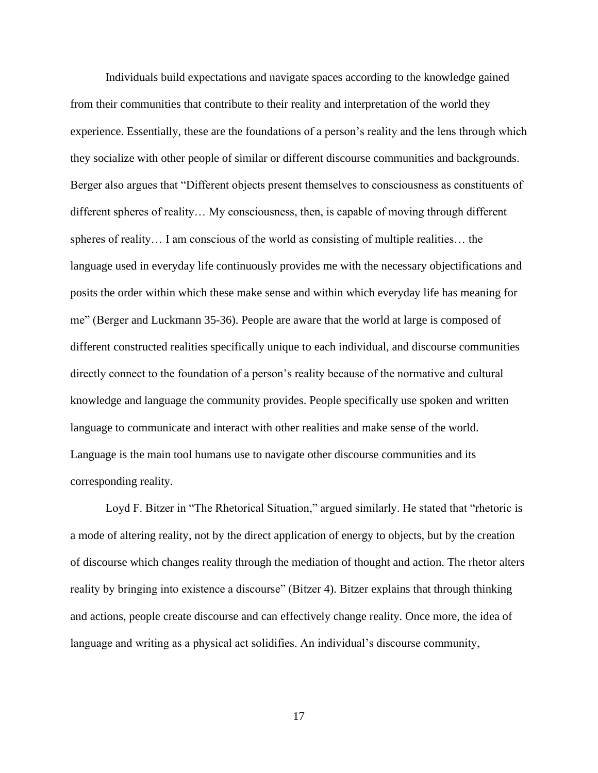Individuals build expectations and navigate spaces according to the knowledge gained from their communities that contribute to their reality and interpretation of the world they experience. Essentially, these are the foundations of a person's reality and the lens through which they socialize with other people of similar or different discourse communities and backgrounds. Berger also argues that "Different objects present themselves to consciousness as constituents of different spheres of reality… My consciousness, then, is capable of moving through different spheres of reality… I am conscious of the world as consisting of multiple realities… the language used in everyday life continuously provides me with the necessary objectifications and posits the order within which these make sense and within which everyday life has meaning for me" (Berger and Luckmann 35-36). People are aware that the world at large is composed of different constructed realities specifically unique to each individual, and discourse communities directly connect to the foundation of a person's reality because of the normative and cultural knowledge and language the community provides. People specifically use spoken and written language to communicate and interact with other realities and make sense of the world. Language is the main tool humans use to navigate other discourse communities and its corresponding reality.

Loyd F. Bitzer in "The Rhetorical Situation," argued similarly. He stated that "rhetoric is a mode of altering reality, not by the direct application of energy to objects, but by the creation of discourse which changes reality through the mediation of thought and action. The rhetor alters reality by bringing into existence a discourse" (Bitzer 4). Bitzer explains that through thinking and actions, people create discourse and can effectively change reality. Once more, the idea of language and writing as a physical act solidifies. An individual's discourse community,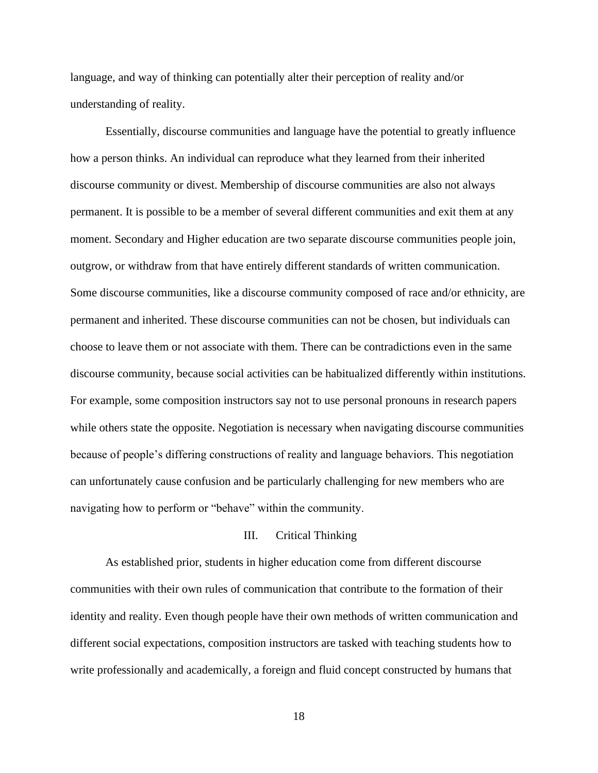language, and way of thinking can potentially alter their perception of reality and/or understanding of reality.

Essentially, discourse communities and language have the potential to greatly influence how a person thinks. An individual can reproduce what they learned from their inherited discourse community or divest. Membership of discourse communities are also not always permanent. It is possible to be a member of several different communities and exit them at any moment. Secondary and Higher education are two separate discourse communities people join, outgrow, or withdraw from that have entirely different standards of written communication. Some discourse communities, like a discourse community composed of race and/or ethnicity, are permanent and inherited. These discourse communities can not be chosen, but individuals can choose to leave them or not associate with them. There can be contradictions even in the same discourse community, because social activities can be habitualized differently within institutions. For example, some composition instructors say not to use personal pronouns in research papers while others state the opposite. Negotiation is necessary when navigating discourse communities because of people's differing constructions of reality and language behaviors. This negotiation can unfortunately cause confusion and be particularly challenging for new members who are navigating how to perform or "behave" within the community.

### III. Critical Thinking

As established prior, students in higher education come from different discourse communities with their own rules of communication that contribute to the formation of their identity and reality. Even though people have their own methods of written communication and different social expectations, composition instructors are tasked with teaching students how to write professionally and academically, a foreign and fluid concept constructed by humans that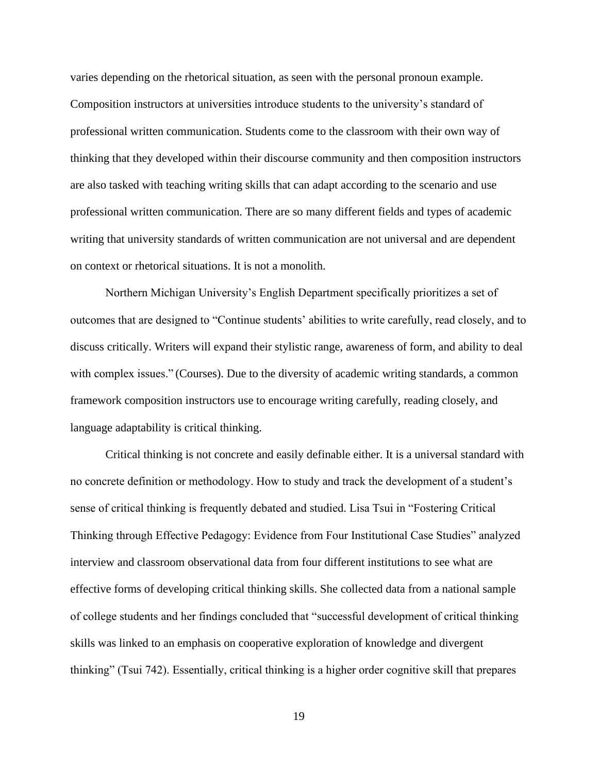varies depending on the rhetorical situation, as seen with the personal pronoun example. Composition instructors at universities introduce students to the university's standard of professional written communication. Students come to the classroom with their own way of thinking that they developed within their discourse community and then composition instructors are also tasked with teaching writing skills that can adapt according to the scenario and use professional written communication. There are so many different fields and types of academic writing that university standards of written communication are not universal and are dependent on context or rhetorical situations. It is not a monolith.

Northern Michigan University's English Department specifically prioritizes a set of outcomes that are designed to "Continue students' abilities to write carefully, read closely, and to discuss critically. Writers will expand their stylistic range, awareness of form, and ability to deal with complex issues." (Courses). Due to the diversity of academic writing standards, a common framework composition instructors use to encourage writing carefully, reading closely, and language adaptability is critical thinking.

Critical thinking is not concrete and easily definable either. It is a universal standard with no concrete definition or methodology. How to study and track the development of a student's sense of critical thinking is frequently debated and studied. Lisa Tsui in "Fostering Critical Thinking through Effective Pedagogy: Evidence from Four Institutional Case Studies" analyzed interview and classroom observational data from four different institutions to see what are effective forms of developing critical thinking skills. She collected data from a national sample of college students and her findings concluded that "successful development of critical thinking skills was linked to an emphasis on cooperative exploration of knowledge and divergent thinking" (Tsui 742). Essentially, critical thinking is a higher order cognitive skill that prepares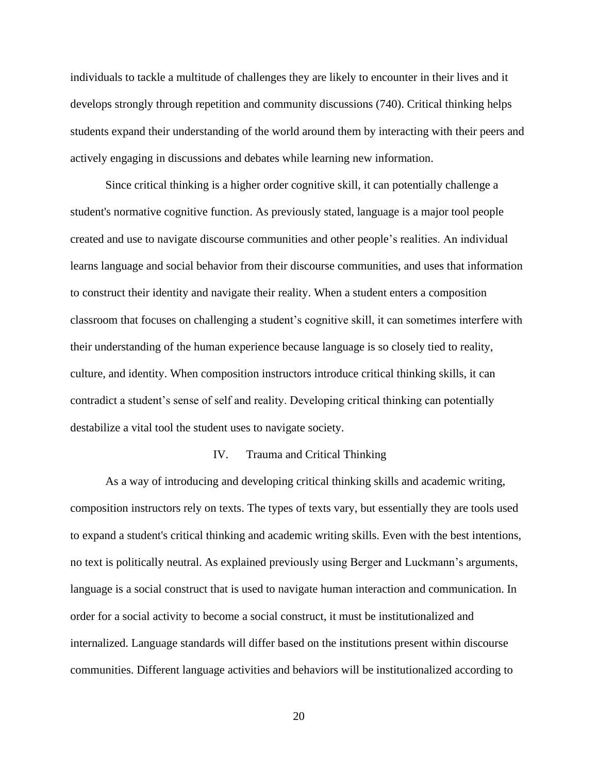individuals to tackle a multitude of challenges they are likely to encounter in their lives and it develops strongly through repetition and community discussions (740). Critical thinking helps students expand their understanding of the world around them by interacting with their peers and actively engaging in discussions and debates while learning new information.

Since critical thinking is a higher order cognitive skill, it can potentially challenge a student's normative cognitive function. As previously stated, language is a major tool people created and use to navigate discourse communities and other people's realities. An individual learns language and social behavior from their discourse communities, and uses that information to construct their identity and navigate their reality. When a student enters a composition classroom that focuses on challenging a student's cognitive skill, it can sometimes interfere with their understanding of the human experience because language is so closely tied to reality, culture, and identity. When composition instructors introduce critical thinking skills, it can contradict a student's sense of self and reality. Developing critical thinking can potentially destabilize a vital tool the student uses to navigate society.

### IV. Trauma and Critical Thinking

As a way of introducing and developing critical thinking skills and academic writing, composition instructors rely on texts. The types of texts vary, but essentially they are tools used to expand a student's critical thinking and academic writing skills. Even with the best intentions, no text is politically neutral. As explained previously using Berger and Luckmann's arguments, language is a social construct that is used to navigate human interaction and communication. In order for a social activity to become a social construct, it must be institutionalized and internalized. Language standards will differ based on the institutions present within discourse communities. Different language activities and behaviors will be institutionalized according to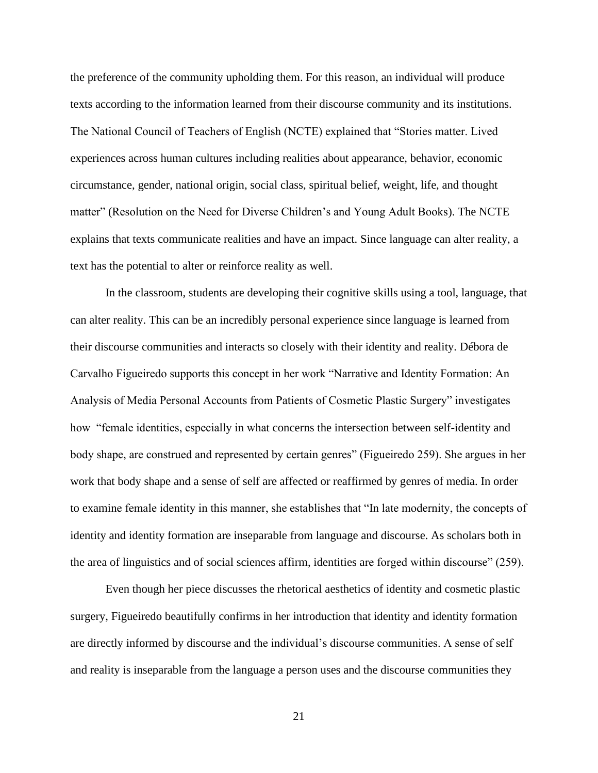the preference of the community upholding them. For this reason, an individual will produce texts according to the information learned from their discourse community and its institutions. The National Council of Teachers of English (NCTE) explained that "Stories matter. Lived experiences across human cultures including realities about appearance, behavior, economic circumstance, gender, national origin, social class, spiritual belief, weight, life, and thought matter" (Resolution on the Need for Diverse Children's and Young Adult Books). The NCTE explains that texts communicate realities and have an impact. Since language can alter reality, a text has the potential to alter or reinforce reality as well.

In the classroom, students are developing their cognitive skills using a tool, language, that can alter reality. This can be an incredibly personal experience since language is learned from their discourse communities and interacts so closely with their identity and reality. Débora de Carvalho Figueiredo supports this concept in her work "Narrative and Identity Formation: An Analysis of Media Personal Accounts from Patients of Cosmetic Plastic Surgery" investigates how "female identities, especially in what concerns the intersection between self-identity and body shape, are construed and represented by certain genres" (Figueiredo 259). She argues in her work that body shape and a sense of self are affected or reaffirmed by genres of media. In order to examine female identity in this manner, she establishes that "In late modernity, the concepts of identity and identity formation are inseparable from language and discourse. As scholars both in the area of linguistics and of social sciences affirm, identities are forged within discourse" (259).

Even though her piece discusses the rhetorical aesthetics of identity and cosmetic plastic surgery, Figueiredo beautifully confirms in her introduction that identity and identity formation are directly informed by discourse and the individual's discourse communities. A sense of self and reality is inseparable from the language a person uses and the discourse communities they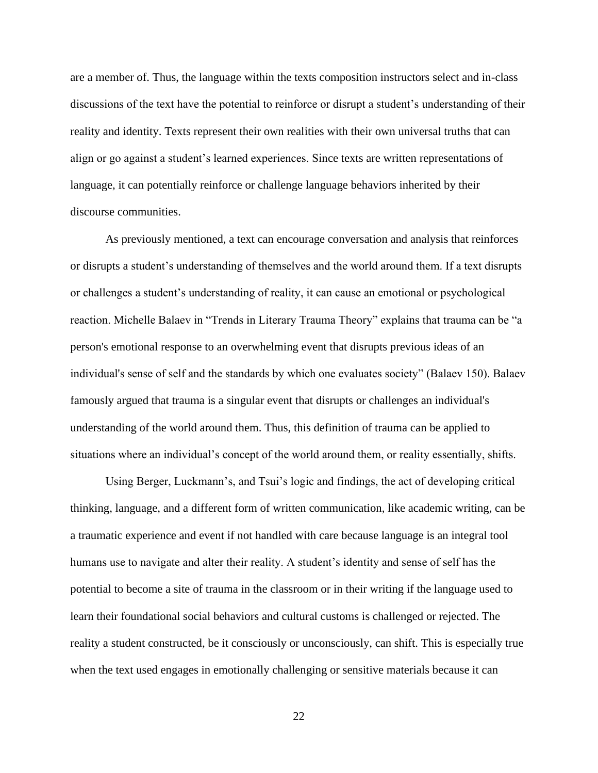are a member of. Thus, the language within the texts composition instructors select and in-class discussions of the text have the potential to reinforce or disrupt a student's understanding of their reality and identity. Texts represent their own realities with their own universal truths that can align or go against a student's learned experiences. Since texts are written representations of language, it can potentially reinforce or challenge language behaviors inherited by their discourse communities.

As previously mentioned, a text can encourage conversation and analysis that reinforces or disrupts a student's understanding of themselves and the world around them. If a text disrupts or challenges a student's understanding of reality, it can cause an emotional or psychological reaction. Michelle Balaev in "Trends in Literary Trauma Theory" explains that trauma can be "a person's emotional response to an overwhelming event that disrupts previous ideas of an individual's sense of self and the standards by which one evaluates society" (Balaev 150). Balaev famously argued that trauma is a singular event that disrupts or challenges an individual's understanding of the world around them. Thus, this definition of trauma can be applied to situations where an individual's concept of the world around them, or reality essentially, shifts.

Using Berger, Luckmann's, and Tsui's logic and findings, the act of developing critical thinking, language, and a different form of written communication, like academic writing, can be a traumatic experience and event if not handled with care because language is an integral tool humans use to navigate and alter their reality. A student's identity and sense of self has the potential to become a site of trauma in the classroom or in their writing if the language used to learn their foundational social behaviors and cultural customs is challenged or rejected. The reality a student constructed, be it consciously or unconsciously, can shift. This is especially true when the text used engages in emotionally challenging or sensitive materials because it can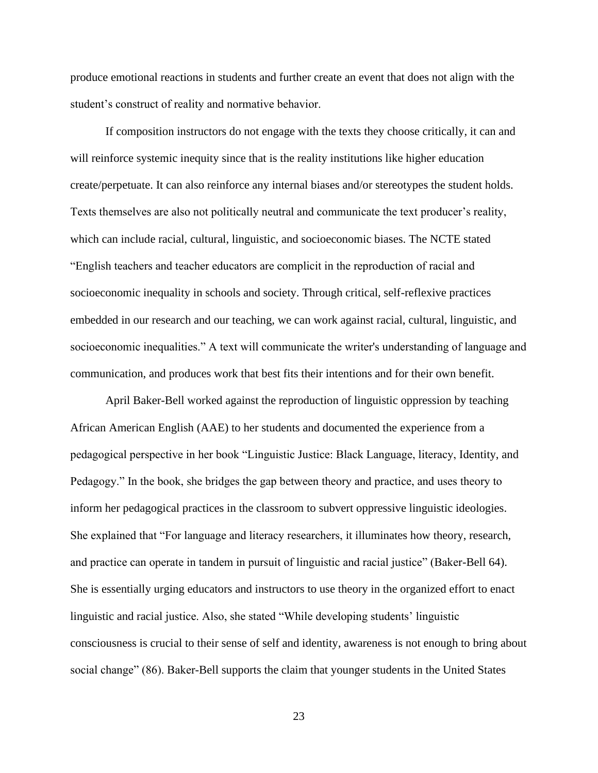produce emotional reactions in students and further create an event that does not align with the student's construct of reality and normative behavior.

If composition instructors do not engage with the texts they choose critically, it can and will reinforce systemic inequity since that is the reality institutions like higher education create/perpetuate. It can also reinforce any internal biases and/or stereotypes the student holds. Texts themselves are also not politically neutral and communicate the text producer's reality, which can include racial, cultural, linguistic, and socioeconomic biases. The NCTE stated "English teachers and teacher educators are complicit in the reproduction of racial and socioeconomic inequality in schools and society. Through critical, self-reflexive practices embedded in our research and our teaching, we can work against racial, cultural, linguistic, and socioeconomic inequalities." A text will communicate the writer's understanding of language and communication, and produces work that best fits their intentions and for their own benefit.

April Baker-Bell worked against the reproduction of linguistic oppression by teaching African American English (AAE) to her students and documented the experience from a pedagogical perspective in her book "Linguistic Justice: Black Language, literacy, Identity, and Pedagogy." In the book, she bridges the gap between theory and practice, and uses theory to inform her pedagogical practices in the classroom to subvert oppressive linguistic ideologies. She explained that "For language and literacy researchers, it illuminates how theory, research, and practice can operate in tandem in pursuit of linguistic and racial justice" (Baker-Bell 64). She is essentially urging educators and instructors to use theory in the organized effort to enact linguistic and racial justice. Also, she stated "While developing students' linguistic consciousness is crucial to their sense of self and identity, awareness is not enough to bring about social change" (86). Baker-Bell supports the claim that younger students in the United States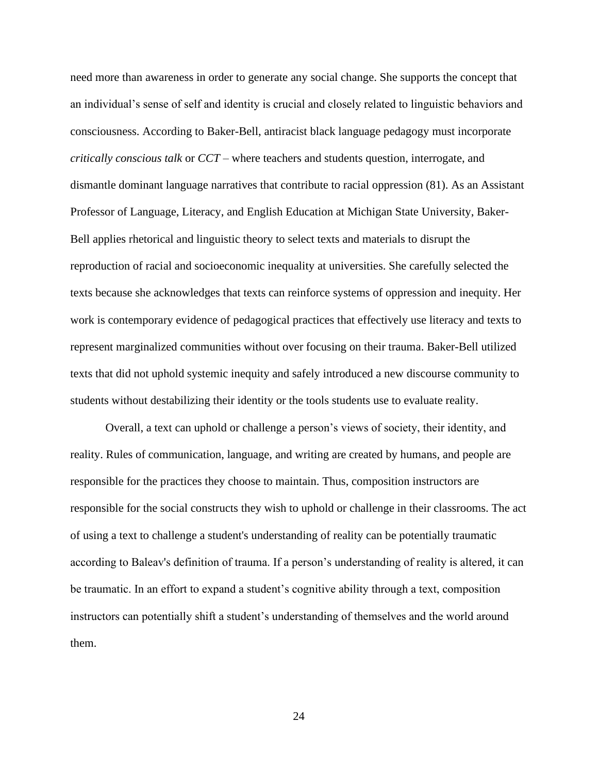need more than awareness in order to generate any social change. She supports the concept that an individual's sense of self and identity is crucial and closely related to linguistic behaviors and consciousness. According to Baker-Bell, antiracist black language pedagogy must incorporate *critically conscious talk* or *CCT* – where teachers and students question, interrogate, and dismantle dominant language narratives that contribute to racial oppression (81). As an Assistant Professor of Language, Literacy, and English Education at Michigan State University, Baker-Bell applies rhetorical and linguistic theory to select texts and materials to disrupt the reproduction of racial and socioeconomic inequality at universities. She carefully selected the texts because she acknowledges that texts can reinforce systems of oppression and inequity. Her work is contemporary evidence of pedagogical practices that effectively use literacy and texts to represent marginalized communities without over focusing on their trauma. Baker-Bell utilized texts that did not uphold systemic inequity and safely introduced a new discourse community to students without destabilizing their identity or the tools students use to evaluate reality.

Overall, a text can uphold or challenge a person's views of society, their identity, and reality. Rules of communication, language, and writing are created by humans, and people are responsible for the practices they choose to maintain. Thus, composition instructors are responsible for the social constructs they wish to uphold or challenge in their classrooms. The act of using a text to challenge a student's understanding of reality can be potentially traumatic according to Baleav's definition of trauma. If a person's understanding of reality is altered, it can be traumatic. In an effort to expand a student's cognitive ability through a text, composition instructors can potentially shift a student's understanding of themselves and the world around them.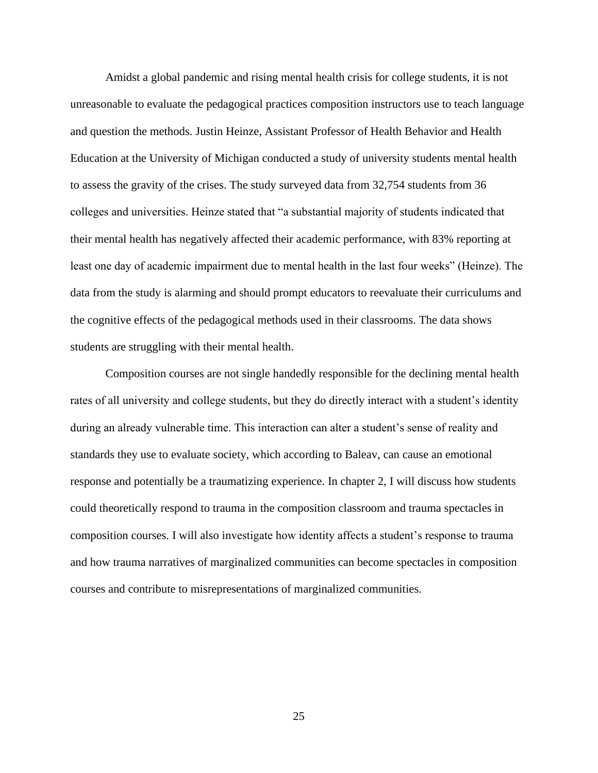Amidst a global pandemic and rising mental health crisis for college students, it is not unreasonable to evaluate the pedagogical practices composition instructors use to teach language and question the methods. Justin Heinze, Assistant Professor of Health Behavior and Health Education at the University of Michigan conducted a study of university students mental health to assess the gravity of the crises. The study surveyed data from 32,754 students from 36 colleges and universities. Heinze stated that "a substantial majority of students indicated that their mental health has negatively affected their academic performance, with 83% reporting at least one day of academic impairment due to mental health in the last four weeks" (Heinze). The data from the study is alarming and should prompt educators to reevaluate their curriculums and the cognitive effects of the pedagogical methods used in their classrooms. The data shows students are struggling with their mental health.

Composition courses are not single handedly responsible for the declining mental health rates of all university and college students, but they do directly interact with a student's identity during an already vulnerable time. This interaction can alter a student's sense of reality and standards they use to evaluate society, which according to Baleav, can cause an emotional response and potentially be a traumatizing experience. In chapter 2, I will discuss how students could theoretically respond to trauma in the composition classroom and trauma spectacles in composition courses. I will also investigate how identity affects a student's response to trauma and how trauma narratives of marginalized communities can become spectacles in composition courses and contribute to misrepresentations of marginalized communities.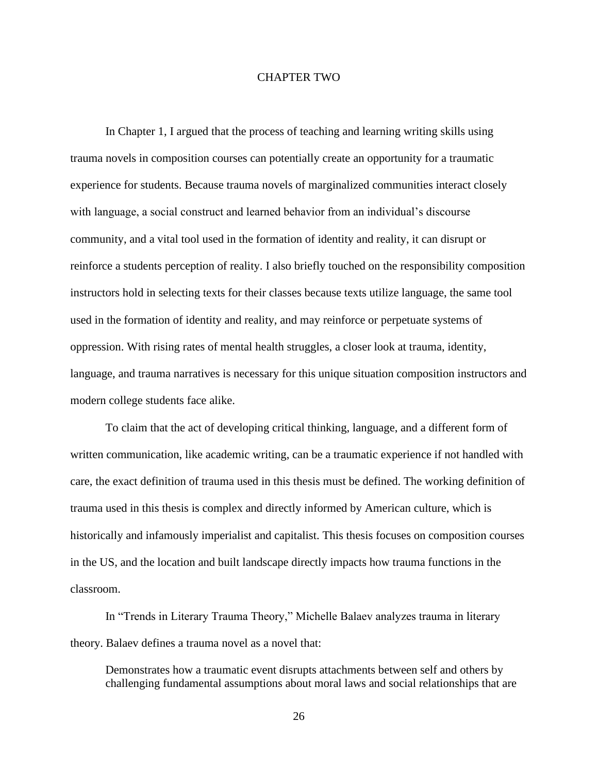### CHAPTER TWO

In Chapter 1, I argued that the process of teaching and learning writing skills using trauma novels in composition courses can potentially create an opportunity for a traumatic experience for students. Because trauma novels of marginalized communities interact closely with language, a social construct and learned behavior from an individual's discourse community, and a vital tool used in the formation of identity and reality, it can disrupt or reinforce a students perception of reality. I also briefly touched on the responsibility composition instructors hold in selecting texts for their classes because texts utilize language, the same tool used in the formation of identity and reality, and may reinforce or perpetuate systems of oppression. With rising rates of mental health struggles, a closer look at trauma, identity, language, and trauma narratives is necessary for this unique situation composition instructors and modern college students face alike.

To claim that the act of developing critical thinking, language, and a different form of written communication, like academic writing, can be a traumatic experience if not handled with care, the exact definition of trauma used in this thesis must be defined. The working definition of trauma used in this thesis is complex and directly informed by American culture, which is historically and infamously imperialist and capitalist. This thesis focuses on composition courses in the US, and the location and built landscape directly impacts how trauma functions in the classroom.

In "Trends in Literary Trauma Theory," Michelle Balaev analyzes trauma in literary theory. Balaev defines a trauma novel as a novel that:

Demonstrates how a traumatic event disrupts attachments between self and others by challenging fundamental assumptions about moral laws and social relationships that are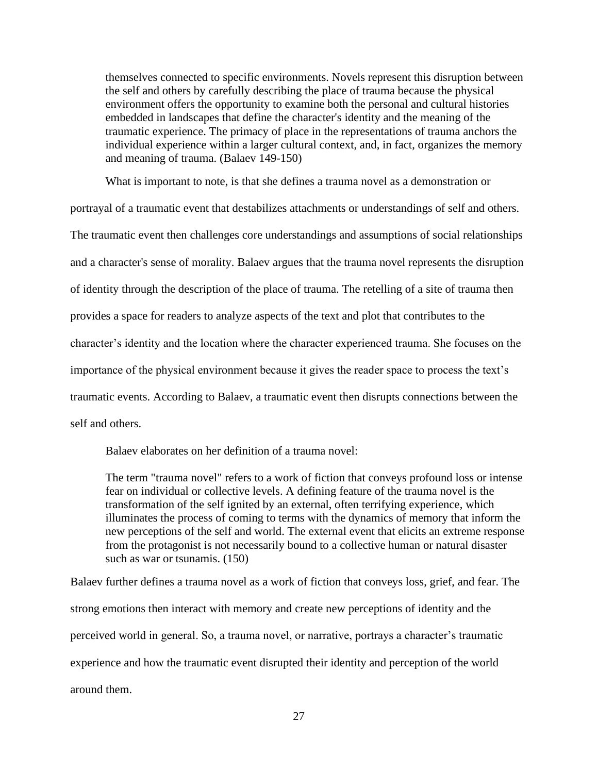themselves connected to specific environments. Novels represent this disruption between the self and others by carefully describing the place of trauma because the physical environment offers the opportunity to examine both the personal and cultural histories embedded in landscapes that define the character's identity and the meaning of the traumatic experience. The primacy of place in the representations of trauma anchors the individual experience within a larger cultural context, and, in fact, organizes the memory and meaning of trauma. (Balaev 149-150)

What is important to note, is that she defines a trauma novel as a demonstration or

portrayal of a traumatic event that destabilizes attachments or understandings of self and others.

The traumatic event then challenges core understandings and assumptions of social relationships

and a character's sense of morality. Balaev argues that the trauma novel represents the disruption

of identity through the description of the place of trauma. The retelling of a site of trauma then

provides a space for readers to analyze aspects of the text and plot that contributes to the

character's identity and the location where the character experienced trauma. She focuses on the

importance of the physical environment because it gives the reader space to process the text's

traumatic events. According to Balaev, a traumatic event then disrupts connections between the

self and others.

Balaev elaborates on her definition of a trauma novel:

The term "trauma novel" refers to a work of fiction that conveys profound loss or intense fear on individual or collective levels. A defining feature of the trauma novel is the transformation of the self ignited by an external, often terrifying experience, which illuminates the process of coming to terms with the dynamics of memory that inform the new perceptions of the self and world. The external event that elicits an extreme response from the protagonist is not necessarily bound to a collective human or natural disaster such as war or tsunamis. (150)

Balaev further defines a trauma novel as a work of fiction that conveys loss, grief, and fear. The strong emotions then interact with memory and create new perceptions of identity and the perceived world in general. So, a trauma novel, or narrative, portrays a character's traumatic experience and how the traumatic event disrupted their identity and perception of the world around them.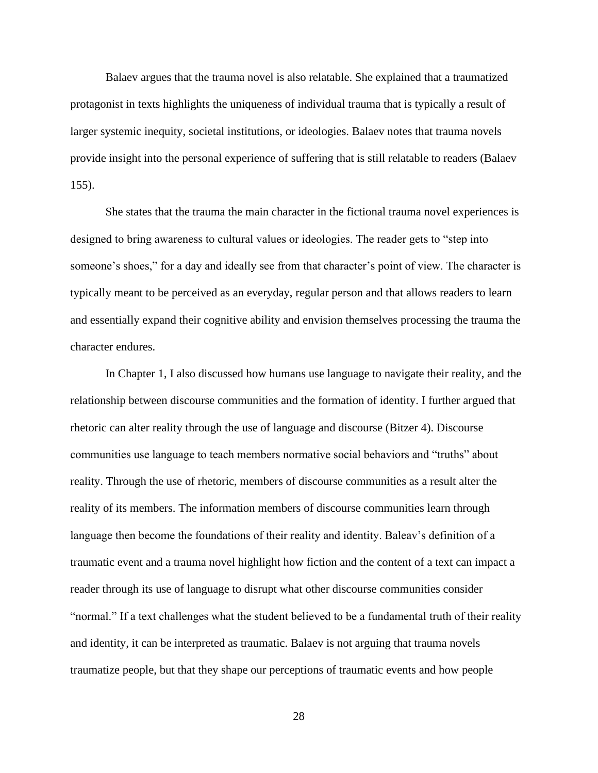Balaev argues that the trauma novel is also relatable. She explained that a traumatized protagonist in texts highlights the uniqueness of individual trauma that is typically a result of larger systemic inequity, societal institutions, or ideologies. Balaev notes that trauma novels provide insight into the personal experience of suffering that is still relatable to readers (Balaev 155).

She states that the trauma the main character in the fictional trauma novel experiences is designed to bring awareness to cultural values or ideologies. The reader gets to "step into someone's shoes," for a day and ideally see from that character's point of view. The character is typically meant to be perceived as an everyday, regular person and that allows readers to learn and essentially expand their cognitive ability and envision themselves processing the trauma the character endures.

In Chapter 1, I also discussed how humans use language to navigate their reality, and the relationship between discourse communities and the formation of identity. I further argued that rhetoric can alter reality through the use of language and discourse (Bitzer 4). Discourse communities use language to teach members normative social behaviors and "truths" about reality. Through the use of rhetoric, members of discourse communities as a result alter the reality of its members. The information members of discourse communities learn through language then become the foundations of their reality and identity. Baleav's definition of a traumatic event and a trauma novel highlight how fiction and the content of a text can impact a reader through its use of language to disrupt what other discourse communities consider "normal." If a text challenges what the student believed to be a fundamental truth of their reality and identity, it can be interpreted as traumatic. Balaev is not arguing that trauma novels traumatize people, but that they shape our perceptions of traumatic events and how people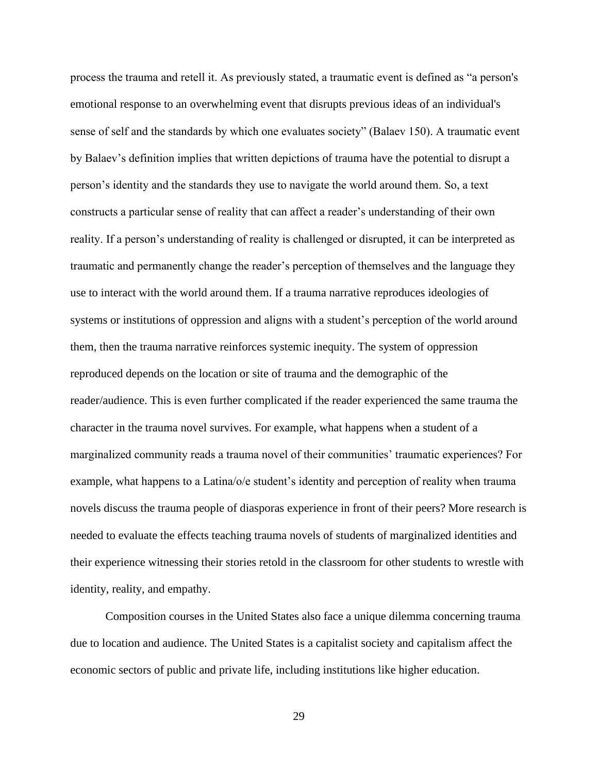process the trauma and retell it. As previously stated, a traumatic event is defined as "a person's emotional response to an overwhelming event that disrupts previous ideas of an individual's sense of self and the standards by which one evaluates society" (Balaev 150). A traumatic event by Balaev's definition implies that written depictions of trauma have the potential to disrupt a person's identity and the standards they use to navigate the world around them. So, a text constructs a particular sense of reality that can affect a reader's understanding of their own reality. If a person's understanding of reality is challenged or disrupted, it can be interpreted as traumatic and permanently change the reader's perception of themselves and the language they use to interact with the world around them. If a trauma narrative reproduces ideologies of systems or institutions of oppression and aligns with a student's perception of the world around them, then the trauma narrative reinforces systemic inequity. The system of oppression reproduced depends on the location or site of trauma and the demographic of the reader/audience. This is even further complicated if the reader experienced the same trauma the character in the trauma novel survives. For example, what happens when a student of a marginalized community reads a trauma novel of their communities' traumatic experiences? For example, what happens to a Latina/o/e student's identity and perception of reality when trauma novels discuss the trauma people of diasporas experience in front of their peers? More research is needed to evaluate the effects teaching trauma novels of students of marginalized identities and their experience witnessing their stories retold in the classroom for other students to wrestle with identity, reality, and empathy.

Composition courses in the United States also face a unique dilemma concerning trauma due to location and audience. The United States is a capitalist society and capitalism affect the economic sectors of public and private life, including institutions like higher education.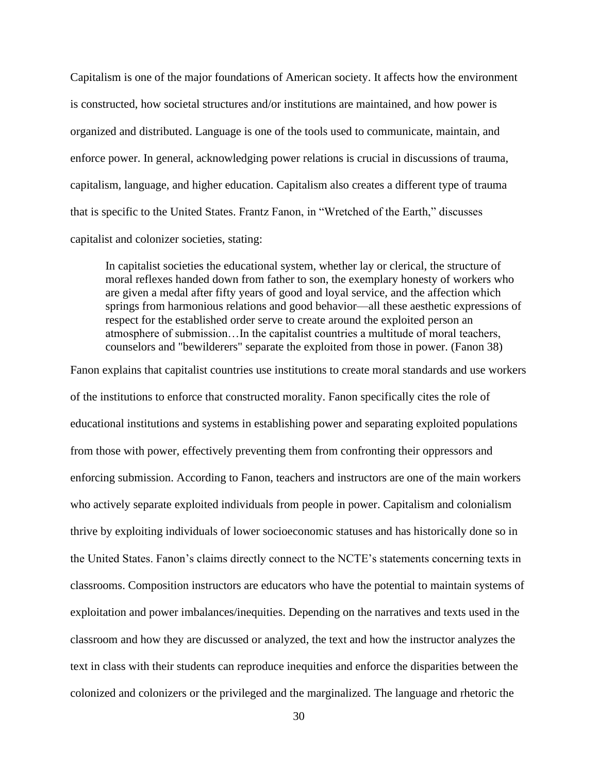Capitalism is one of the major foundations of American society. It affects how the environment is constructed, how societal structures and/or institutions are maintained, and how power is organized and distributed. Language is one of the tools used to communicate, maintain, and enforce power. In general, acknowledging power relations is crucial in discussions of trauma, capitalism, language, and higher education. Capitalism also creates a different type of trauma that is specific to the United States. Frantz Fanon, in "Wretched of the Earth," discusses capitalist and colonizer societies, stating:

In capitalist societies the educational system, whether lay or clerical, the structure of moral reflexes handed down from father to son, the exemplary honesty of workers who are given a medal after fifty years of good and loyal service, and the affection which springs from harmonious relations and good behavior—all these aesthetic expressions of respect for the established order serve to create around the exploited person an atmosphere of submission…In the capitalist countries a multitude of moral teachers, counselors and "bewilderers" separate the exploited from those in power. (Fanon 38)

Fanon explains that capitalist countries use institutions to create moral standards and use workers of the institutions to enforce that constructed morality. Fanon specifically cites the role of educational institutions and systems in establishing power and separating exploited populations from those with power, effectively preventing them from confronting their oppressors and enforcing submission. According to Fanon, teachers and instructors are one of the main workers who actively separate exploited individuals from people in power. Capitalism and colonialism thrive by exploiting individuals of lower socioeconomic statuses and has historically done so in the United States. Fanon's claims directly connect to the NCTE's statements concerning texts in classrooms. Composition instructors are educators who have the potential to maintain systems of exploitation and power imbalances/inequities. Depending on the narratives and texts used in the classroom and how they are discussed or analyzed, the text and how the instructor analyzes the text in class with their students can reproduce inequities and enforce the disparities between the colonized and colonizers or the privileged and the marginalized. The language and rhetoric the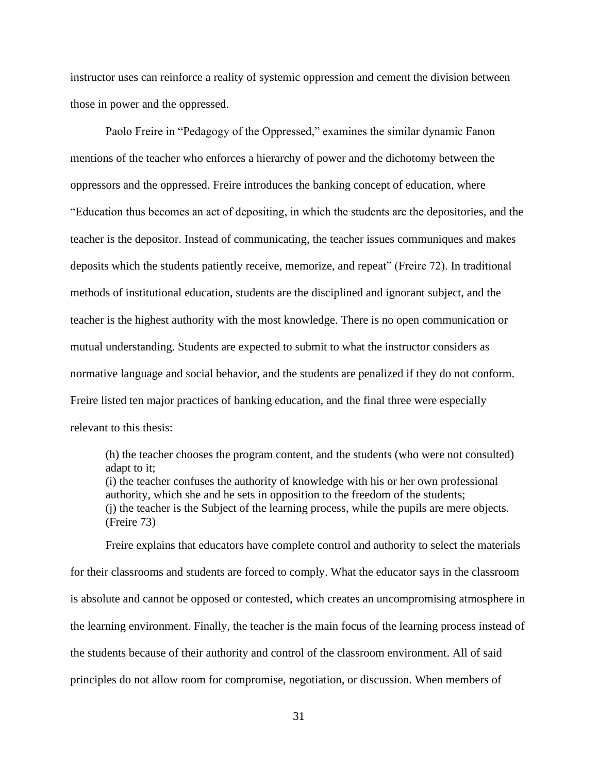instructor uses can reinforce a reality of systemic oppression and cement the division between those in power and the oppressed.

Paolo Freire in "Pedagogy of the Oppressed," examines the similar dynamic Fanon mentions of the teacher who enforces a hierarchy of power and the dichotomy between the oppressors and the oppressed. Freire introduces the banking concept of education, where "Education thus becomes an act of depositing, in which the students are the depositories, and the teacher is the depositor. Instead of communicating, the teacher issues communiques and makes deposits which the students patiently receive, memorize, and repeat" (Freire 72). In traditional methods of institutional education, students are the disciplined and ignorant subject, and the teacher is the highest authority with the most knowledge. There is no open communication or mutual understanding. Students are expected to submit to what the instructor considers as normative language and social behavior, and the students are penalized if they do not conform. Freire listed ten major practices of banking education, and the final three were especially relevant to this thesis:

(h) the teacher chooses the program content, and the students (who were not consulted) adapt to it; (i) the teacher confuses the authority of knowledge with his or her own professional authority, which she and he sets in opposition to the freedom of the students; (j) the teacher is the Subject of the learning process, while the pupils are mere objects. (Freire 73)

Freire explains that educators have complete control and authority to select the materials for their classrooms and students are forced to comply. What the educator says in the classroom is absolute and cannot be opposed or contested, which creates an uncompromising atmosphere in the learning environment. Finally, the teacher is the main focus of the learning process instead of the students because of their authority and control of the classroom environment. All of said principles do not allow room for compromise, negotiation, or discussion. When members of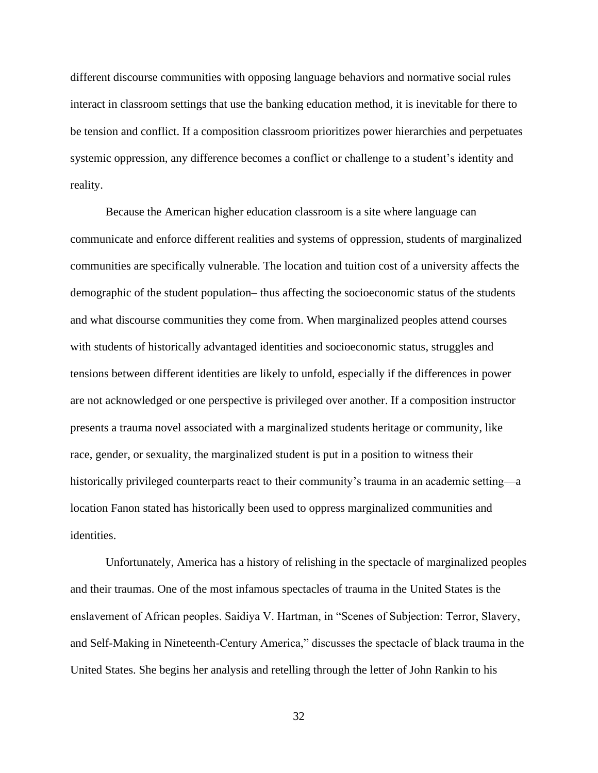different discourse communities with opposing language behaviors and normative social rules interact in classroom settings that use the banking education method, it is inevitable for there to be tension and conflict. If a composition classroom prioritizes power hierarchies and perpetuates systemic oppression, any difference becomes a conflict or challenge to a student's identity and reality.

Because the American higher education classroom is a site where language can communicate and enforce different realities and systems of oppression, students of marginalized communities are specifically vulnerable. The location and tuition cost of a university affects the demographic of the student population– thus affecting the socioeconomic status of the students and what discourse communities they come from. When marginalized peoples attend courses with students of historically advantaged identities and socioeconomic status, struggles and tensions between different identities are likely to unfold, especially if the differences in power are not acknowledged or one perspective is privileged over another. If a composition instructor presents a trauma novel associated with a marginalized students heritage or community, like race, gender, or sexuality, the marginalized student is put in a position to witness their historically privileged counterparts react to their community's trauma in an academic setting—a location Fanon stated has historically been used to oppress marginalized communities and identities.

Unfortunately, America has a history of relishing in the spectacle of marginalized peoples and their traumas. One of the most infamous spectacles of trauma in the United States is the enslavement of African peoples. Saidiya V. Hartman, in "Scenes of Subjection: Terror, Slavery, and Self-Making in Nineteenth-Century America," discusses the spectacle of black trauma in the United States. She begins her analysis and retelling through the letter of John Rankin to his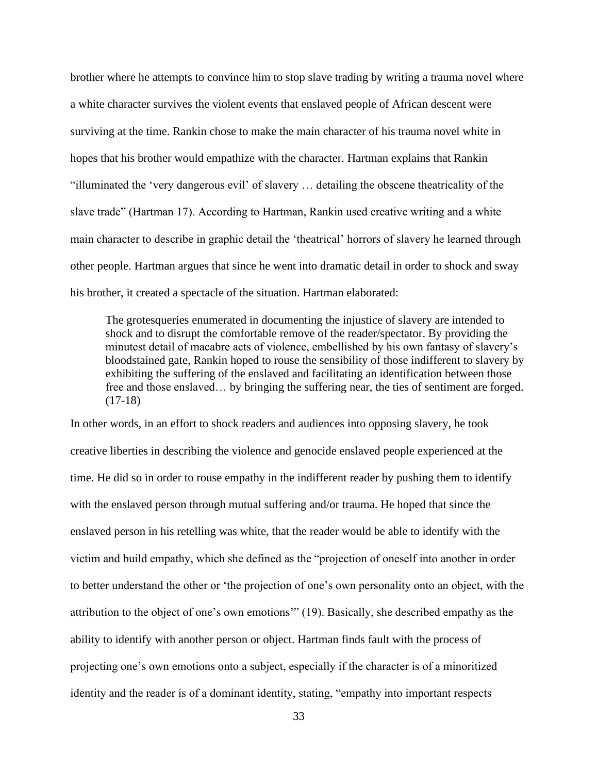brother where he attempts to convince him to stop slave trading by writing a trauma novel where a white character survives the violent events that enslaved people of African descent were surviving at the time. Rankin chose to make the main character of his trauma novel white in hopes that his brother would empathize with the character. Hartman explains that Rankin "illuminated the 'very dangerous evil' of slavery … detailing the obscene theatricality of the slave trade" (Hartman 17). According to Hartman, Rankin used creative writing and a white main character to describe in graphic detail the 'theatrical' horrors of slavery he learned through other people. Hartman argues that since he went into dramatic detail in order to shock and sway his brother, it created a spectacle of the situation. Hartman elaborated:

The grotesqueries enumerated in documenting the injustice of slavery are intended to shock and to disrupt the comfortable remove of the reader/spectator. By providing the minutest detail of macabre acts of violence, embellished by his own fantasy of slavery's bloodstained gate, Rankin hoped to rouse the sensibility of those indifferent to slavery by exhibiting the suffering of the enslaved and facilitating an identification between those free and those enslaved… by bringing the suffering near, the ties of sentiment are forged. (17-18)

In other words, in an effort to shock readers and audiences into opposing slavery, he took creative liberties in describing the violence and genocide enslaved people experienced at the time. He did so in order to rouse empathy in the indifferent reader by pushing them to identify with the enslaved person through mutual suffering and/or trauma. He hoped that since the enslaved person in his retelling was white, that the reader would be able to identify with the victim and build empathy, which she defined as the "projection of oneself into another in order to better understand the other or 'the projection of one's own personality onto an object, with the attribution to the object of one's own emotions'" (19). Basically, she described empathy as the ability to identify with another person or object. Hartman finds fault with the process of projecting one's own emotions onto a subject, especially if the character is of a minoritized identity and the reader is of a dominant identity, stating, "empathy into important respects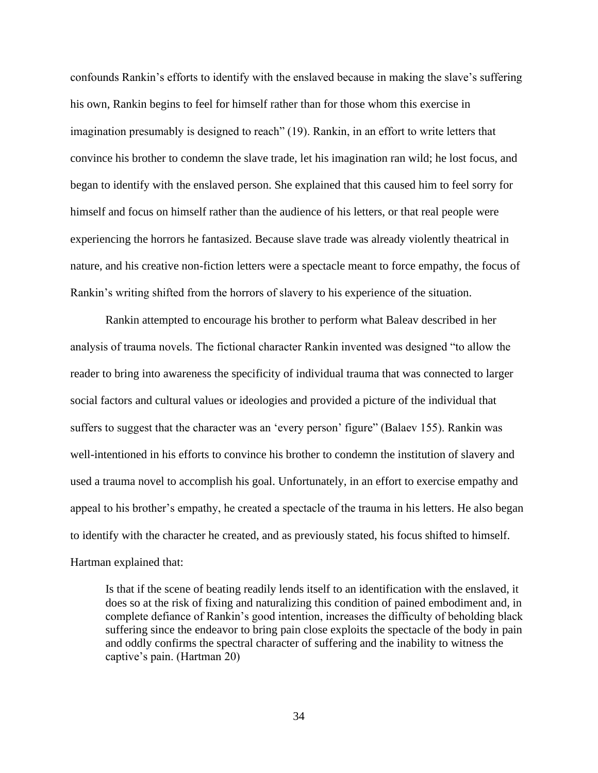confounds Rankin's efforts to identify with the enslaved because in making the slave's suffering his own, Rankin begins to feel for himself rather than for those whom this exercise in imagination presumably is designed to reach" (19). Rankin, in an effort to write letters that convince his brother to condemn the slave trade, let his imagination ran wild; he lost focus, and began to identify with the enslaved person. She explained that this caused him to feel sorry for himself and focus on himself rather than the audience of his letters, or that real people were experiencing the horrors he fantasized. Because slave trade was already violently theatrical in nature, and his creative non-fiction letters were a spectacle meant to force empathy, the focus of Rankin's writing shifted from the horrors of slavery to his experience of the situation.

Rankin attempted to encourage his brother to perform what Baleav described in her analysis of trauma novels. The fictional character Rankin invented was designed "to allow the reader to bring into awareness the specificity of individual trauma that was connected to larger social factors and cultural values or ideologies and provided a picture of the individual that suffers to suggest that the character was an 'every person' figure" (Balaev 155). Rankin was well-intentioned in his efforts to convince his brother to condemn the institution of slavery and used a trauma novel to accomplish his goal. Unfortunately, in an effort to exercise empathy and appeal to his brother's empathy, he created a spectacle of the trauma in his letters. He also began to identify with the character he created, and as previously stated, his focus shifted to himself. Hartman explained that:

Is that if the scene of beating readily lends itself to an identification with the enslaved, it does so at the risk of fixing and naturalizing this condition of pained embodiment and, in complete defiance of Rankin's good intention, increases the difficulty of beholding black suffering since the endeavor to bring pain close exploits the spectacle of the body in pain and oddly confirms the spectral character of suffering and the inability to witness the captive's pain. (Hartman 20)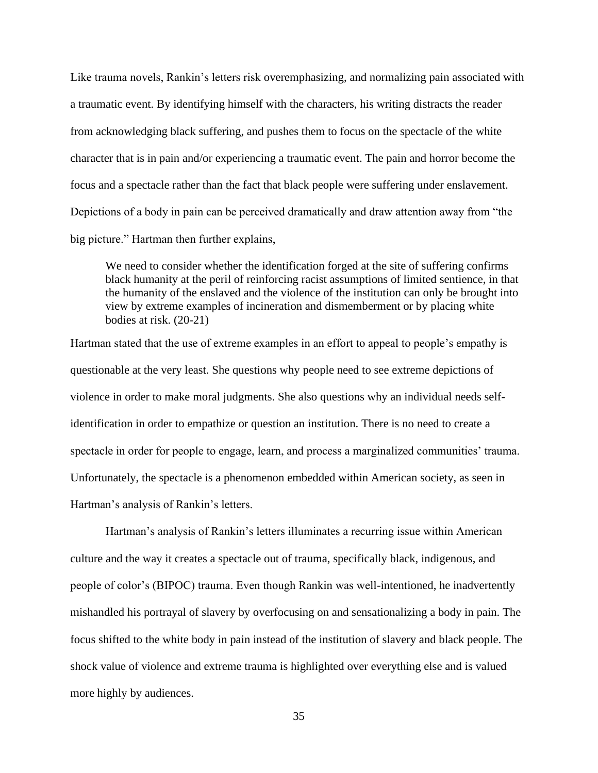Like trauma novels, Rankin's letters risk overemphasizing, and normalizing pain associated with a traumatic event. By identifying himself with the characters, his writing distracts the reader from acknowledging black suffering, and pushes them to focus on the spectacle of the white character that is in pain and/or experiencing a traumatic event. The pain and horror become the focus and a spectacle rather than the fact that black people were suffering under enslavement. Depictions of a body in pain can be perceived dramatically and draw attention away from "the big picture." Hartman then further explains,

We need to consider whether the identification forged at the site of suffering confirms black humanity at the peril of reinforcing racist assumptions of limited sentience, in that the humanity of the enslaved and the violence of the institution can only be brought into view by extreme examples of incineration and dismemberment or by placing white bodies at risk. (20-21)

Hartman stated that the use of extreme examples in an effort to appeal to people's empathy is questionable at the very least. She questions why people need to see extreme depictions of violence in order to make moral judgments. She also questions why an individual needs selfidentification in order to empathize or question an institution. There is no need to create a spectacle in order for people to engage, learn, and process a marginalized communities' trauma. Unfortunately, the spectacle is a phenomenon embedded within American society, as seen in Hartman's analysis of Rankin's letters.

Hartman's analysis of Rankin's letters illuminates a recurring issue within American culture and the way it creates a spectacle out of trauma, specifically black, indigenous, and people of color's (BIPOC) trauma. Even though Rankin was well-intentioned, he inadvertently mishandled his portrayal of slavery by overfocusing on and sensationalizing a body in pain. The focus shifted to the white body in pain instead of the institution of slavery and black people. The shock value of violence and extreme trauma is highlighted over everything else and is valued more highly by audiences.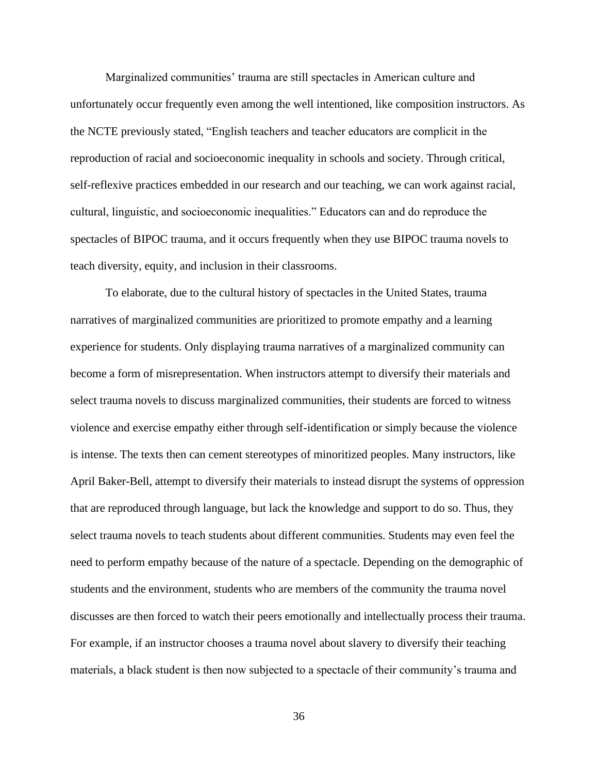Marginalized communities' trauma are still spectacles in American culture and unfortunately occur frequently even among the well intentioned, like composition instructors. As the NCTE previously stated, "English teachers and teacher educators are complicit in the reproduction of racial and socioeconomic inequality in schools and society. Through critical, self-reflexive practices embedded in our research and our teaching, we can work against racial, cultural, linguistic, and socioeconomic inequalities." Educators can and do reproduce the spectacles of BIPOC trauma, and it occurs frequently when they use BIPOC trauma novels to teach diversity, equity, and inclusion in their classrooms.

To elaborate, due to the cultural history of spectacles in the United States, trauma narratives of marginalized communities are prioritized to promote empathy and a learning experience for students. Only displaying trauma narratives of a marginalized community can become a form of misrepresentation. When instructors attempt to diversify their materials and select trauma novels to discuss marginalized communities, their students are forced to witness violence and exercise empathy either through self-identification or simply because the violence is intense. The texts then can cement stereotypes of minoritized peoples. Many instructors, like April Baker-Bell, attempt to diversify their materials to instead disrupt the systems of oppression that are reproduced through language, but lack the knowledge and support to do so. Thus, they select trauma novels to teach students about different communities. Students may even feel the need to perform empathy because of the nature of a spectacle. Depending on the demographic of students and the environment, students who are members of the community the trauma novel discusses are then forced to watch their peers emotionally and intellectually process their trauma. For example, if an instructor chooses a trauma novel about slavery to diversify their teaching materials, a black student is then now subjected to a spectacle of their community's trauma and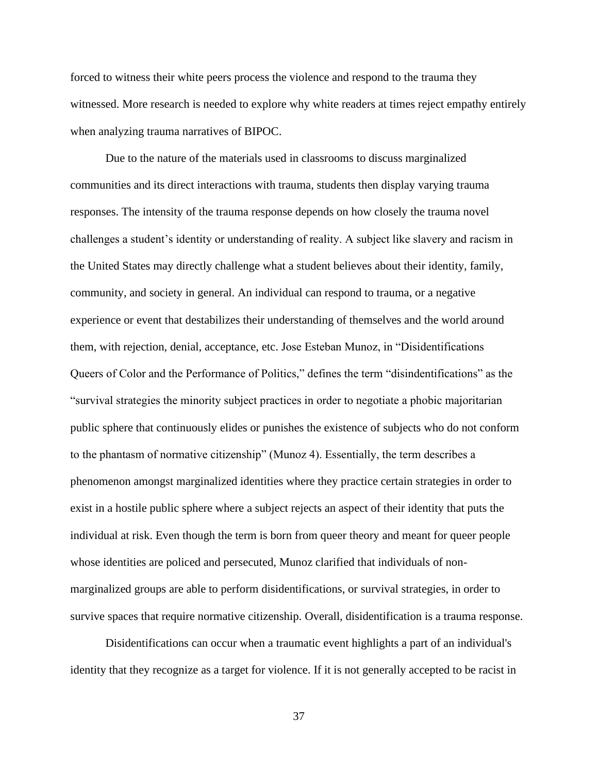forced to witness their white peers process the violence and respond to the trauma they witnessed. More research is needed to explore why white readers at times reject empathy entirely when analyzing trauma narratives of BIPOC.

Due to the nature of the materials used in classrooms to discuss marginalized communities and its direct interactions with trauma, students then display varying trauma responses. The intensity of the trauma response depends on how closely the trauma novel challenges a student's identity or understanding of reality. A subject like slavery and racism in the United States may directly challenge what a student believes about their identity, family, community, and society in general. An individual can respond to trauma, or a negative experience or event that destabilizes their understanding of themselves and the world around them, with rejection, denial, acceptance, etc. Jose Esteban Munoz, in "Disidentifications Queers of Color and the Performance of Politics," defines the term "disindentifications" as the "survival strategies the minority subject practices in order to negotiate a phobic majoritarian public sphere that continuously elides or punishes the existence of subjects who do not conform to the phantasm of normative citizenship" (Munoz 4). Essentially, the term describes a phenomenon amongst marginalized identities where they practice certain strategies in order to exist in a hostile public sphere where a subject rejects an aspect of their identity that puts the individual at risk. Even though the term is born from queer theory and meant for queer people whose identities are policed and persecuted, Munoz clarified that individuals of nonmarginalized groups are able to perform disidentifications, or survival strategies, in order to survive spaces that require normative citizenship. Overall, disidentification is a trauma response.

Disidentifications can occur when a traumatic event highlights a part of an individual's identity that they recognize as a target for violence. If it is not generally accepted to be racist in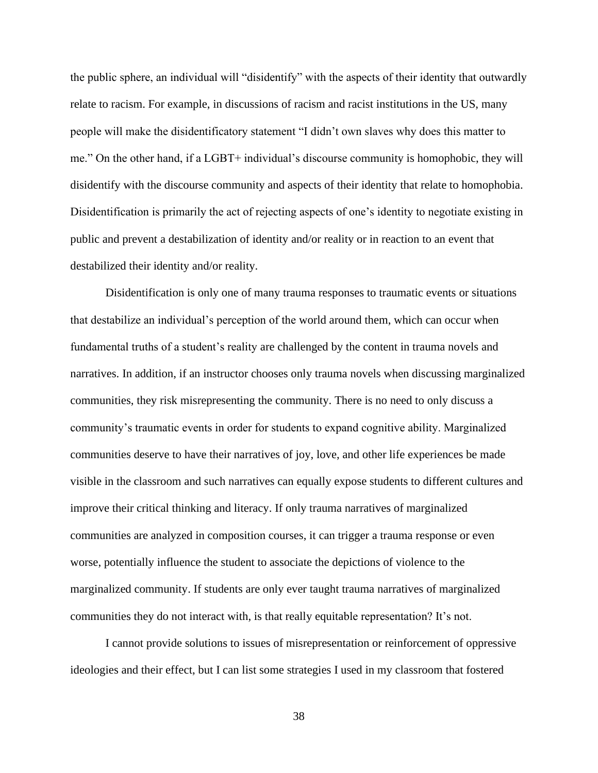the public sphere, an individual will "disidentify" with the aspects of their identity that outwardly relate to racism. For example, in discussions of racism and racist institutions in the US, many people will make the disidentificatory statement "I didn't own slaves why does this matter to me." On the other hand, if a LGBT+ individual's discourse community is homophobic, they will disidentify with the discourse community and aspects of their identity that relate to homophobia. Disidentification is primarily the act of rejecting aspects of one's identity to negotiate existing in public and prevent a destabilization of identity and/or reality or in reaction to an event that destabilized their identity and/or reality.

Disidentification is only one of many trauma responses to traumatic events or situations that destabilize an individual's perception of the world around them, which can occur when fundamental truths of a student's reality are challenged by the content in trauma novels and narratives. In addition, if an instructor chooses only trauma novels when discussing marginalized communities, they risk misrepresenting the community. There is no need to only discuss a community's traumatic events in order for students to expand cognitive ability. Marginalized communities deserve to have their narratives of joy, love, and other life experiences be made visible in the classroom and such narratives can equally expose students to different cultures and improve their critical thinking and literacy. If only trauma narratives of marginalized communities are analyzed in composition courses, it can trigger a trauma response or even worse, potentially influence the student to associate the depictions of violence to the marginalized community. If students are only ever taught trauma narratives of marginalized communities they do not interact with, is that really equitable representation? It's not.

I cannot provide solutions to issues of misrepresentation or reinforcement of oppressive ideologies and their effect, but I can list some strategies I used in my classroom that fostered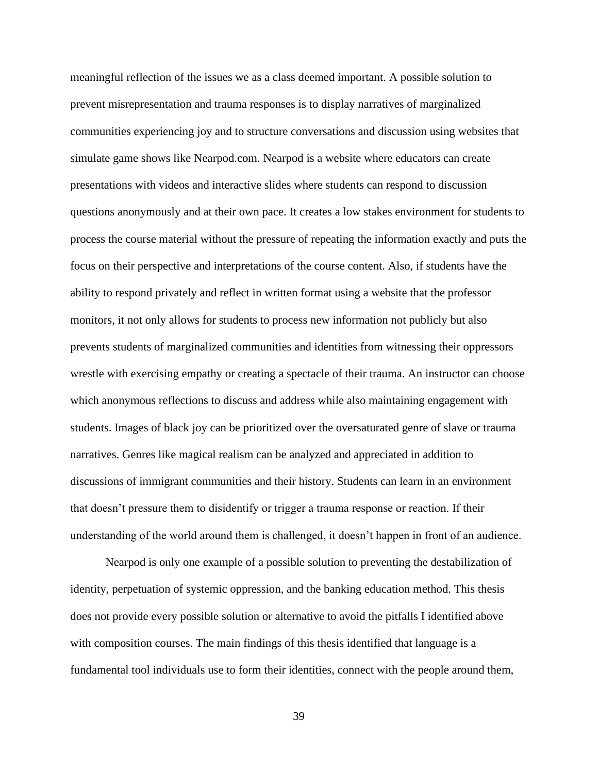meaningful reflection of the issues we as a class deemed important. A possible solution to prevent misrepresentation and trauma responses is to display narratives of marginalized communities experiencing joy and to structure conversations and discussion using websites that simulate game shows like Nearpod.com. Nearpod is a website where educators can create presentations with videos and interactive slides where students can respond to discussion questions anonymously and at their own pace. It creates a low stakes environment for students to process the course material without the pressure of repeating the information exactly and puts the focus on their perspective and interpretations of the course content. Also, if students have the ability to respond privately and reflect in written format using a website that the professor monitors, it not only allows for students to process new information not publicly but also prevents students of marginalized communities and identities from witnessing their oppressors wrestle with exercising empathy or creating a spectacle of their trauma. An instructor can choose which anonymous reflections to discuss and address while also maintaining engagement with students. Images of black joy can be prioritized over the oversaturated genre of slave or trauma narratives. Genres like magical realism can be analyzed and appreciated in addition to discussions of immigrant communities and their history. Students can learn in an environment that doesn't pressure them to disidentify or trigger a trauma response or reaction. If their understanding of the world around them is challenged, it doesn't happen in front of an audience.

Nearpod is only one example of a possible solution to preventing the destabilization of identity, perpetuation of systemic oppression, and the banking education method. This thesis does not provide every possible solution or alternative to avoid the pitfalls I identified above with composition courses. The main findings of this thesis identified that language is a fundamental tool individuals use to form their identities, connect with the people around them,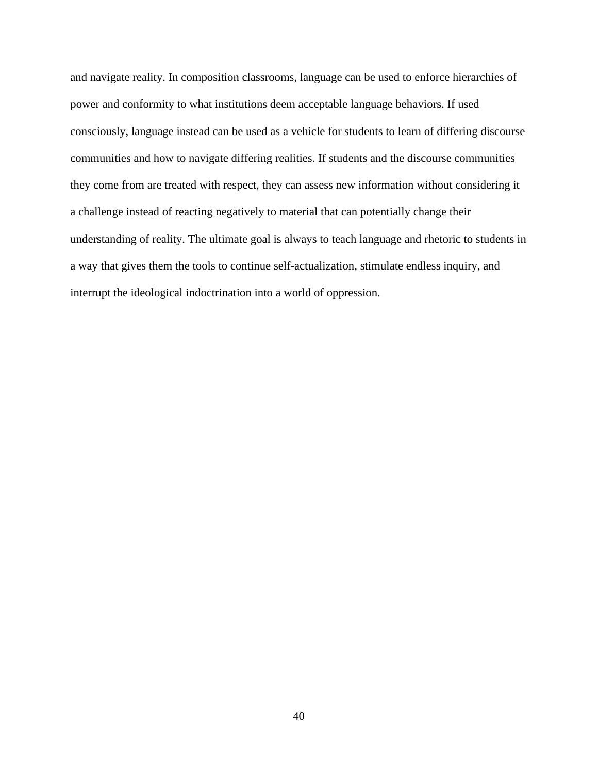and navigate reality. In composition classrooms, language can be used to enforce hierarchies of power and conformity to what institutions deem acceptable language behaviors. If used consciously, language instead can be used as a vehicle for students to learn of differing discourse communities and how to navigate differing realities. If students and the discourse communities they come from are treated with respect, they can assess new information without considering it a challenge instead of reacting negatively to material that can potentially change their understanding of reality. The ultimate goal is always to teach language and rhetoric to students in a way that gives them the tools to continue self-actualization, stimulate endless inquiry, and interrupt the ideological indoctrination into a world of oppression.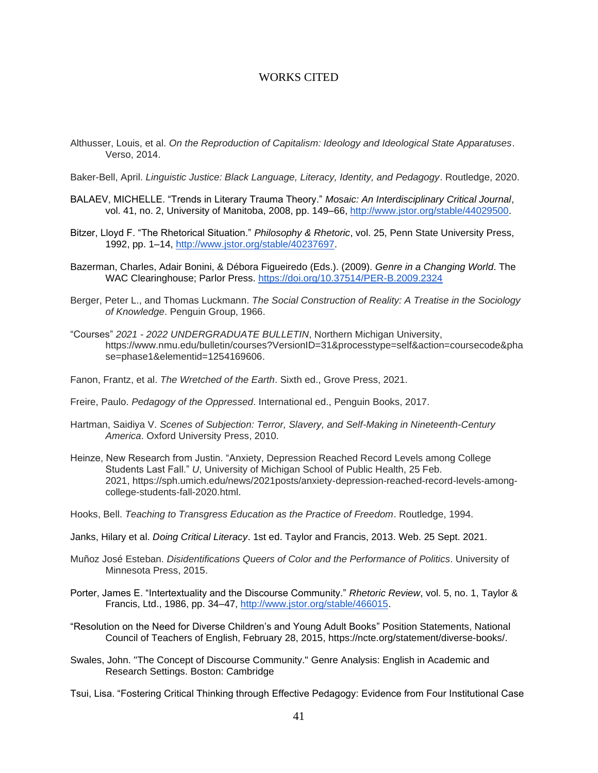### WORKS CITED

- Althusser, Louis, et al. *On the Reproduction of Capitalism: Ideology and Ideological State Apparatuses*. Verso, 2014.
- Baker-Bell, April. *Linguistic Justice: Black Language, Literacy, Identity, and Pedagogy*. Routledge, 2020.
- BALAEV, MICHELLE. "Trends in Literary Trauma Theory." *Mosaic: An Interdisciplinary Critical Journal*, vol. 41, no. 2, University of Manitoba, 2008, pp. 149–66, [http://www.jstor.org/stable/44029500.](http://www.jstor.org/stable/44029500)
- Bitzer, Lloyd F. "The Rhetorical Situation." *Philosophy & Rhetoric*, vol. 25, Penn State University Press, 1992, pp. 1–14, [http://www.jstor.org/stable/40237697.](http://www.jstor.org/stable/40237697)
- Bazerman, Charles, Adair Bonini, & Débora Figueiredo (Eds.). (2009). *Genre in a Changing World*. The WAC Clearinghouse; Parlor Press. <https://doi.org/10.37514/PER-B.2009.2324>
- Berger, Peter L., and Thomas Luckmann. *The Social Construction of Reality: A Treatise in the Sociology of Knowledge*. Penguin Group, 1966.
- "Courses" *2021 - 2022 UNDERGRADUATE BULLETIN*, Northern Michigan University, https://www.nmu.edu/bulletin/courses?VersionID=31&processtype=self&action=coursecode&pha se=phase1&elementid=1254169606.
- Fanon, Frantz, et al. *The Wretched of the Earth*. Sixth ed., Grove Press, 2021.
- Freire, Paulo. *Pedagogy of the Oppressed*. International ed., Penguin Books, 2017.
- Hartman, Saidiya V. *Scenes of Subjection: Terror, Slavery, and Self-Making in Nineteenth-Century America*. Oxford University Press, 2010.
- Heinze, New Research from Justin. "Anxiety, Depression Reached Record Levels among College Students Last Fall." *U*, University of Michigan School of Public Health, 25 Feb. 2021, https://sph.umich.edu/news/2021posts/anxiety-depression-reached-record-levels-amongcollege-students-fall-2020.html.
- Hooks, Bell. *Teaching to Transgress Education as the Practice of Freedom*. Routledge, 1994.
- Janks, Hilary et al. *Doing Critical Literacy*. 1st ed. Taylor and Francis, 2013. Web. 25 Sept. 2021.
- Muñoz José Esteban. *Disidentifications Queers of Color and the Performance of Politics*. University of Minnesota Press, 2015.
- Porter, James E. "Intertextuality and the Discourse Community." *Rhetoric Review*, vol. 5, no. 1, Taylor & Francis, Ltd., 1986, pp. 34–47, [http://www.jstor.org/stable/466015.](http://www.jstor.org/stable/466015)
- "Resolution on the Need for Diverse Children's and Young Adult Books" Position Statements, National Council of Teachers of English, February 28, 2015, https://ncte.org/statement/diverse-books/.
- Swales, John. ''The Concept of Discourse Community." Genre Analysis: English in Academic and Research Settings. Boston: Cambridge

Tsui, Lisa. "Fostering Critical Thinking through Effective Pedagogy: Evidence from Four Institutional Case